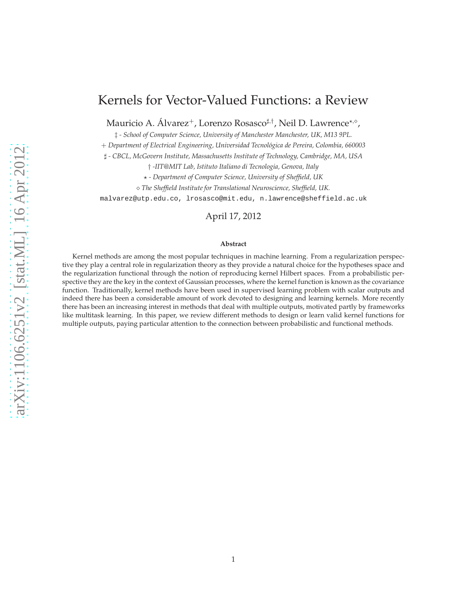# Kernels for Vector-Valued Functions: a Review

Mauricio A. Álvarez<sup>+</sup>, Lorenzo Rosasco<sup>‡,†</sup>, Neil D. Lawrence\*<sup>,</sup>◇,

‡ *- School of Computer Science, University of Manchester Manchester, UK, M13 9PL.*

+ *Department of Electrical Engineering, Universidad Tecnol´ogica de Pereira, Colombia, 660003*

♯ *- CBCL, McGovern Institute, Massachusetts Institute of Technology, Cambridge, MA, USA*

† *-IIT@MIT Lab, Istituto Italiano di Tecnologia, Genova, Italy*

⋆ *- Department of Computer Science, University of Sheffield, UK*

⋄ *The Sheffield Institute for Translational Neuroscience, Sheffield, UK.*

malvarez@utp.edu.co, lrosasco@mit.edu, n.lawrence@sheffield.ac.uk

April 17, 2012

#### **Abstract**

Kernel methods are among the most popular techniques in machine learning. From a regularization perspective they play a central role in regularization theory as they provide a natural choice for the hypotheses space and the regularization functional through the notion of reproducing kernel Hilbert spaces. From a probabilistic perspective they are the key in the context of Gaussian processes, where the kernel function is known as the covariance function. Traditionally, kernel methods have been used in supervised learning problem with scalar outputs and indeed there has been a considerable amount of work devoted to designing and learning kernels. More recently there has been an increasing interest in methods that deal with multiple outputs, motivated partly by frameworks like multitask learning. In this paper, we review different methods to design or learn valid kernel functions for multiple outputs, paying particular attention to the connection between probabilistic and functional methods.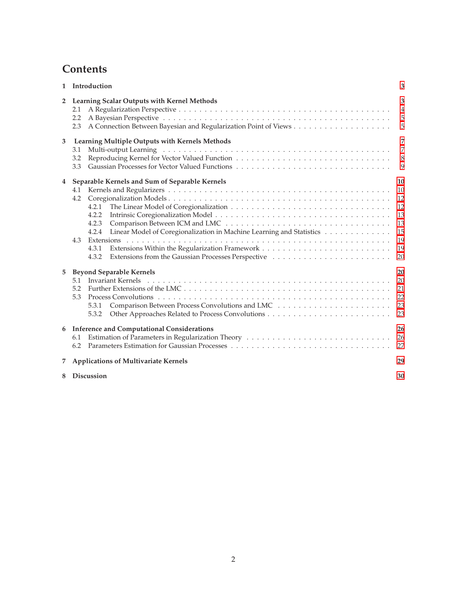# **Contents**

| 1              | Introduction                                                                                                                                                                                                    | 3                                                        |
|----------------|-----------------------------------------------------------------------------------------------------------------------------------------------------------------------------------------------------------------|----------------------------------------------------------|
| $\overline{2}$ | Learning Scalar Outputs with Kernel Methods<br>2.1<br>2.2<br>2.3                                                                                                                                                | 3<br>$\overline{4}$<br>5<br>5                            |
| 3              | Learning Multiple Outputs with Kernels Methods<br>3.1<br>3.2<br>3.3                                                                                                                                             | 7<br>7<br>$\,8\,$<br>9                                   |
| 4              | Separable Kernels and Sum of Separable Kernels<br>4.1<br>4.2<br>4.2.1<br>4.2.2<br>4.2.3<br>Linear Model of Coregionalization in Machine Learning and Statistics<br>4.2.4<br>4.3<br>Extensions<br>4.3.1<br>4.3.2 | 10<br>10<br>12<br>12<br>13<br>13<br>15<br>19<br>19<br>20 |
| 5              | <b>Beyond Separable Kernels</b><br><b>Invariant Kernels</b><br>5.1<br>5.2<br>5.3<br>5.3.1<br>5.3.2                                                                                                              | 20<br>20<br>21<br>22<br>23<br>23                         |
| 6              | <b>Inference and Computational Considerations</b><br>6.1<br>6.2                                                                                                                                                 | 26<br>26<br>27                                           |
| 7              | <b>Applications of Multivariate Kernels</b>                                                                                                                                                                     | 29                                                       |
| 8              | <b>Discussion</b>                                                                                                                                                                                               | 30                                                       |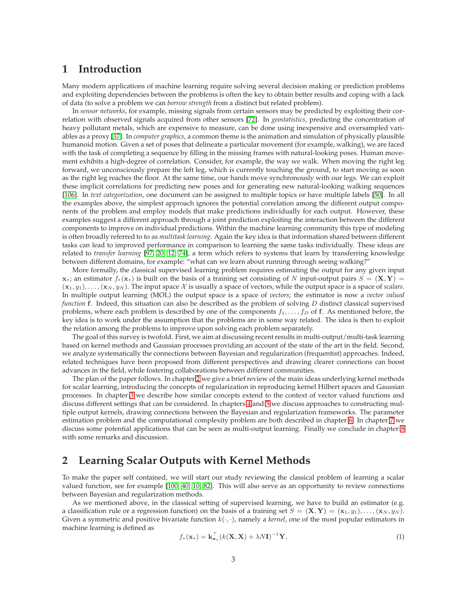## <span id="page-2-0"></span>**1 Introduction**

Many modern applications of machine learning require solving several decision making or prediction problems and exploiting dependencies between the problems is often the key to obtain better results and coping with a lack of data (to solve a problem we can *borrow strength* from a distinct but related problem).

In *sensor networks*, for example, missing signals from certain sensors may be predicted by exploiting their correlation with observed signals acquired from other sensors [\[72\]](#page-35-0). In *geostatistics*, predicting the concentration of heavy pollutant metals, which are expensive to measure, can be done using inexpensive and oversampled variables as a proxy [\[37\]](#page-33-0). In *computer graphics*, a common theme is the animation and simulation of physically plausible humanoid motion. Given a set of poses that delineate a particular movement (for example, walking), we are faced with the task of completing a sequence by filling in the missing frames with natural-looking poses. Human movement exhibits a high-degree of correlation. Consider, for example, the way we walk. When moving the right leg forward, we unconsciously prepare the left leg, which is currently touching the ground, to start moving as soon as the right leg reaches the floor. At the same time, our hands move synchronously with our legs. We can exploit these implicit correlations for predicting new poses and for generating new natural-looking walking sequences [\[106\]](#page-36-0). In *text categorization*, one document can be assigned to multiple topics or have multiple labels [\[50\]](#page-34-0). In all the examples above, the simplest approach ignores the potential correlation among the different output components of the problem and employ models that make predictions individually for each output. However, these examples suggest a different approach through a joint prediction exploiting the interaction between the different components to improve on individual predictions. Within the machine learning community this type of modeling is often broadly referred to to as *multitask learning*. Again the key idea is that information shared between different tasks can lead to improved performance in comparison to learning the same tasks individually. These ideas are related to *transfer learning* [\[97,](#page-36-1) [20,](#page-32-0) [12,](#page-32-1) [74\]](#page-35-1), a term which refers to systems that learn by transferring knowledge between different domains, for example: "what can we learn about running through seeing walking?"

More formally, the classical supervised learning problem requires estimating the output for any given input  $x^*$ ; an estimator  $f^*({x^*})$  is built on the basis of a training set consisting of N input-output pairs  $S = (\mathbf{X}, \mathbf{Y}) =$  $(x_1, y_1), \ldots, (x_N, y_N)$ . The input space X is usually a space of vectors, while the output space is a space of *scalars*. In multiple output learning (MOL) the output space is a space of *vectors*; the estimator is now a *vector valued function* f. Indeed, this situation can also be described as the problem of solving D distinct classical supervised problems, where each problem is described by one of the components  $f_1, \ldots, f_D$  of f. As mentioned before, the key idea is to work under the assumption that the problems are in some way related. The idea is then to exploit the relation among the problems to improve upon solving each problem separately.

The goal of this survey is twofold. First, we aim at discussing recent results in multi-output/multi-task learning based on kernel methods and Gaussian processes providing an account of the state of the art in the field. Second, we analyze systematically the connections between Bayesian and regularization (frequentist) approaches. Indeed, related techniques have been proposed from different perspectives and drawing clearer connections can boost advances in the field, while fostering collaborations between different communities.

The plan of the paper follows. In chapter [2](#page-2-1) we give a brief review of the main ideas underlying kernel methods for scalar learning, introducing the concepts of regularization in reproducing kernel Hilbert spaces and Gaussian processes. In chapter [3](#page-6-0) we describe how similar concepts extend to the context of vector valued functions and discuss different settings that can be considered. In chapters [4](#page-9-0) and [5](#page-19-1) we discuss approaches to constructing multiple output kernels, drawing connections between the Bayesian and regularization frameworks. The parameter estimation problem and the computational complexity problem are both described in chapter [6.](#page-25-0) In chapter [7](#page-28-0) we discuss some potential applications that can be seen as multi-output learning. Finally we conclude in chapter [8](#page-29-0) with some remarks and discussion.

## <span id="page-2-1"></span>**2 Learning Scalar Outputs with Kernel Methods**

To make the paper self contained, we will start our study reviewing the classical problem of learning a scalar valued function, see for example [\[100,](#page-36-2) [40,](#page-33-1) [10,](#page-32-2) [82\]](#page-35-2). This will also serve as an opportunity to review connections between Bayesian and regularization methods.

As we mentioned above, in the classical setting of supervised learning, we have to build an estimator (e.g. a classification rule or a regression function) on the basis of a training set  $S = (\mathbf{X}, \mathbf{Y}) = (\mathbf{x}_1, y_1), \dots, (\mathbf{x}_N, y_N)$ . Given a symmetric and positive bivariate function  $k(\cdot, \cdot)$ , namely a *kernel*, one of the most popular estimators in machine learning is defined as

$$
f_*(\mathbf{x}_*) = \mathbf{k}_{\mathbf{x}_*}^\top (k(\mathbf{X}, \mathbf{X}) + \lambda N \mathbf{I})^{-1} \mathbf{Y},\tag{1}
$$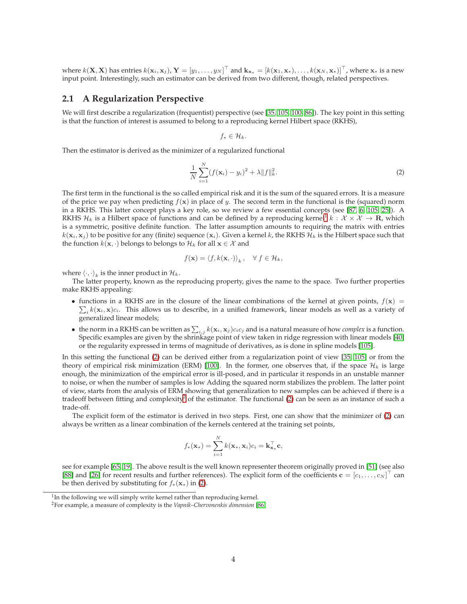where  $k(\mathbf{X},\mathbf{X})$  has entries  $k(\mathbf{x}_i,\mathbf{x}_j)$ ,  $\mathbf{Y}=[y_1,\ldots,y_N]^\top$  and  $\mathbf{k}_{\mathbf{x}_*}=[k(\mathbf{x}_1,\mathbf{x}_*),\ldots,k(\mathbf{x}_N,\mathbf{x}_*)]^\top$ , where  $\mathbf{x}_*$  is a new input point. Interestingly, such an estimator can be derived from two different, though, related perspectives.

### <span id="page-3-0"></span>**2.1 A Regularization Perspective**

We will first describe a regularization (frequentist) perspective (see [\[35,](#page-33-2) [105,](#page-36-3) [100,](#page-36-2) [86\]](#page-35-3)). The key point in this setting is that the function of interest is assumed to belong to a reproducing kernel Hilbert space (RKHS),

<span id="page-3-2"></span>
$$
f_*\in\mathcal{H}_k.
$$

Then the estimator is derived as the minimizer of a regularized functional

$$
\frac{1}{N} \sum_{i=1}^{N} (f(\mathbf{x}_i) - y_i)^2 + \lambda \|f\|_{k}^2.
$$
 (2)

The first term in the functional is the so called empirical risk and it is the sum of the squared errors. It is a measure of the price we pay when predicting  $f(x)$  in place of y. The second term in the functional is the (squared) norm in a RKHS. This latter concept plays a key role, so we review a few essential concepts (see [\[87,](#page-35-4) [6,](#page-32-3) [105,](#page-36-3) [25\]](#page-33-3)). A RKHS  $\mathcal{H}_k$  is a Hilbert space of functions and can be defined by a reproducing kernel<sup>[1](#page-3-1)</sup>  $k:\mathcal{X}\times\mathcal{X}\to\mathbf{R}$ , which is a symmetric, positive definite function. The latter assumption amounts to requiring the matrix with entries  $k(\mathbf{x}_i, \mathbf{x}_j)$  to be positive for any (finite) sequence  $(\mathbf{x}_i)$ . Given a kernel k, the RKHS  $\mathcal{H}_k$  is the Hilbert space such that the function  $k(\mathbf{x}, \cdot)$  belongs to belongs to  $\mathcal{H}_k$  for all  $\mathbf{x} \in \mathcal{X}$  and

$$
f(\mathbf{x}) = \langle f, k(\mathbf{x}, \cdot) \rangle_k, \quad \forall \ f \in \mathcal{H}_k,
$$

where  $\left\langle \cdot,\cdot\right\rangle_k$  is the inner product in  $\mathcal{H}_k.$ 

The latter property, known as the reproducing property, gives the name to the space. Two further properties make RKHS appealing:

- functions in a RKHS are in the closure of the linear combinations of the kernel at given points,  $f(\mathbf{x}) =$  $\sum_i k(\mathbf{x}_i, \mathbf{x})c_i$ . This allows us to describe, in a unified framework, linear models as well as a variety of generalized linear models;
- the norm in a RKHS can be written as  $\sum_{i,j} k(\mathbf{x}_i, \mathbf{x}_j) c_i c_j$  and is a natural measure of how *complex* is a function. Specific examples are given by the shrinkage point of view taken in ridge regression with linear models [\[40\]](#page-33-1) or the regularity expressed in terms of magnitude of derivatives, as is done in spline models [\[105\]](#page-36-3).

In this setting the functional [\(2\)](#page-3-2) can be derived either from a regularization point of view [\[35,](#page-33-2) [105\]](#page-36-3) or from the theory of empirical risk minimization (ERM) [\[100\]](#page-36-2). In the former, one observes that, if the space  $\mathcal{H}_k$  is large enough, the minimization of the empirical error is ill-posed, and in particular it responds in an unstable manner to noise, or when the number of samples is low Adding the squared norm stabilizes the problem. The latter point of view, starts from the analysis of ERM showing that generalization to new samples can be achieved if there is a tradeoff between fitting and complexity<sup>[2](#page-3-3)</sup> of the estimator. The functional [\(2\)](#page-3-2) can be seen as an instance of such a trade-off.

The explicit form of the estimator is derived in two steps. First, one can show that the minimizer of [\(2\)](#page-3-2) can always be written as a linear combination of the kernels centered at the training set points,

$$
f_*(\mathbf{x}_*) = \sum_{i=1}^N k(\mathbf{x}_*, \mathbf{x}_i) c_i = \mathbf{k}_{\mathbf{x}_*}^{\top} \mathbf{c},
$$

see for example [\[65,](#page-34-1) [19\]](#page-32-4). The above result is the well known representer theorem originally proved in [\[51\]](#page-34-2) (see also [\[88\]](#page-35-5) and [\[26\]](#page-33-4) for recent results and further references). The explicit form of the coefficients  $\mathbf{c} = [c_1, \dots, c_N]^\top$  can be then derived by substituting for  $f_*(\mathbf{x}_*)$  in [\(2\)](#page-3-2).

<sup>&</sup>lt;sup>1</sup>In the following we will simply write kernel rather than reproducing kernel.

<span id="page-3-3"></span><span id="page-3-1"></span><sup>2</sup>For example, a measure of complexity is the *Vapnik–Chervonenkis dimension* [\[86\]](#page-35-3)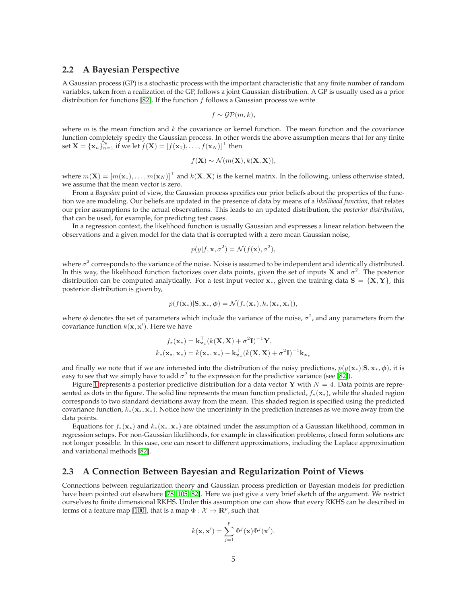### <span id="page-4-0"></span>**2.2 A Bayesian Perspective**

A Gaussian process (GP) is a stochastic process with the important characteristic that any finite number of random variables, taken from a realization of the GP, follows a joint Gaussian distribution. A GP is usually used as a prior distribution for functions [\[82\]](#page-35-2). If the function  $f$  follows a Gaussian process we write

$$
f \sim \mathcal{GP}(m, k),
$$

where  $m$  is the mean function and  $k$  the covariance or kernel function. The mean function and the covariance function completely specify the Gaussian process. In other words the above assumption means that for any finite set  $\mathbf{X} = {\mathbf{x}_n}_{n=1}^N$  if we let  $f(\mathbf{X}) = [f(\mathbf{x}_1), \dots, f(\mathbf{x}_N)]^\top$  then

$$
f(\mathbf{X}) \sim \mathcal{N}(m(\mathbf{X}), k(\mathbf{X}, \mathbf{X})),
$$

where  $m(\mathbf{X}) = [m(\mathbf{x}_1), \dots, m(\mathbf{x}_N)]^\top$  and  $k(\mathbf{X}, \mathbf{X})$  is the kernel matrix. In the following, unless otherwise stated, we assume that the mean vector is zero.

From a *Bayesian* point of view, the Gaussian process specifies our prior beliefs about the properties of the function we are modeling. Our beliefs are updated in the presence of data by means of a *likelihood function*, that relates our prior assumptions to the actual observations. This leads to an updated distribution, the *posterior distribution*, that can be used, for example, for predicting test cases.

In a regression context, the likelihood function is usually Gaussian and expresses a linear relation between the observations and a given model for the data that is corrupted with a zero mean Gaussian noise,

$$
p(y|f, \mathbf{x}, \sigma^2) = \mathcal{N}(f(\mathbf{x}), \sigma^2),
$$

where  $\sigma^2$  corresponds to the variance of the noise. Noise is assumed to be independent and identically distributed. In this way, the likelihood function factorizes over data points, given the set of inputs **X** and  $\sigma^2$ . The posterior distribution can be computed analytically. For a test input vector  $x_*,$  given the training data  $S = \{X, Y\}$ , this posterior distribution is given by,

$$
p(f(\mathbf{x}_{*})|\mathbf{S}, \mathbf{x}_{*}, \boldsymbol{\phi}) = \mathcal{N}(f_{*}(\mathbf{x}_{*}), k_{*}(\mathbf{x}_{*}, \mathbf{x}_{*})),
$$

where  $\phi$  denotes the set of parameters which include the variance of the noise,  $\sigma^2$ , and any parameters from the covariance function  $k(\mathbf{x}, \mathbf{x}')$ . Here we have

$$
f_*(\mathbf{x}_*) = \mathbf{k}_{\mathbf{x}_*}^\top (k(\mathbf{X}, \mathbf{X}) + \sigma^2 \mathbf{I})^{-1} \mathbf{Y},
$$
  

$$
k_*(\mathbf{x}_*, \mathbf{x}_*) = k(\mathbf{x}_*, \mathbf{x}_*) - \mathbf{k}_{\mathbf{x}_*}^\top (k(\mathbf{X}, \mathbf{X}) + \sigma^2 \mathbf{I})^{-1} \mathbf{k}_{\mathbf{x}_*}
$$

and finally we note that if we are interested into the distribution of the noisy predictions,  $p(y(\mathbf{x}_{*})|\mathbf{S}, \mathbf{x}_{*}, \phi)$ , it is easy to see that we simply have to add  $\sigma^2$  to the expression for the predictive variance (see [\[82\]](#page-35-2)).

Figure [1](#page-5-0) represents a posterior predictive distribution for a data vector Y with  $N = 4$ . Data points are represented as dots in the figure. The solid line represents the mean function predicted,  $f_*(\mathbf{x}_*)$ , while the shaded region corresponds to two standard deviations away from the mean. This shaded region is specified using the predicted covariance function,  $k_*(\mathbf{x}_*,\mathbf{x}_*)$ . Notice how the uncertainty in the prediction increases as we move away from the data points.

Equations for  $f_*(\mathbf{x}_*)$  and  $k_*(\mathbf{x}_*, \mathbf{x}_*)$  are obtained under the assumption of a Gaussian likelihood, common in regression setups. For non-Gaussian likelihoods, for example in classification problems, closed form solutions are not longer possible. In this case, one can resort to different approximations, including the Laplace approximation and variational methods [\[82\]](#page-35-2).

### <span id="page-4-1"></span>**2.3 A Connection Between Bayesian and Regularization Point of Views**

Connections between regularization theory and Gaussian process prediction or Bayesian models for prediction have been pointed out elsewhere [\[78,](#page-35-6) [105,](#page-36-3) [82\]](#page-35-2). Here we just give a very brief sketch of the argument. We restrict ourselves to finite dimensional RKHS. Under this assumption one can show that every RKHS can be described in terms of a feature map [\[100\]](#page-36-2), that is a map  $\Phi : \mathcal{X} \to \mathbb{R}^p$ , such that

$$
k(\mathbf{x}, \mathbf{x}') = \sum_{j=1}^{p} \Phi^{j}(\mathbf{x}) \Phi^{j}(\mathbf{x}').
$$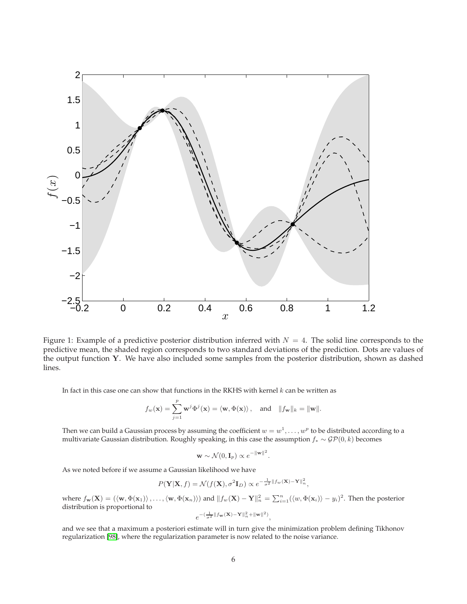<span id="page-5-0"></span>

Figure 1: Example of a predictive posterior distribution inferred with  $N = 4$ . The solid line corresponds to the predictive mean, the shaded region corresponds to two standard deviations of the prediction. Dots are values of the output function Y. We have also included some samples from the posterior distribution, shown as dashed lines.

In fact in this case one can show that functions in the RKHS with kernel  $k$  can be written as

$$
f_w(\mathbf{x}) = \sum_{j=1}^p \mathbf{w}^j \Phi^j(\mathbf{x}) = \langle \mathbf{w}, \Phi(\mathbf{x}) \rangle
$$
, and  $||f_{\mathbf{w}}||_k = ||\mathbf{w}||$ .

Then we can build a Gaussian process by assuming the coefficient  $w=w^1,\ldots,w^p$  to be distributed according to a multivariate Gaussian distribution. Roughly speaking, in this case the assumption  $f_* \sim \mathcal{GP}(0, k)$  becomes

$$
\mathbf{w} \sim \mathcal{N}(0, \mathbf{I}_p) \propto e^{-\|\mathbf{w}\|^2}.
$$

As we noted before if we assume a Gaussian likelihood we have

$$
P(\mathbf{Y}|\mathbf{X},f) = \mathcal{N}(f(\mathbf{X}),\sigma^2 \mathbf{I}_D) \propto e^{-\frac{1}{\sigma^2}||f_w(\mathbf{X}) - \mathbf{Y}||_n^2},
$$

where  $f_{\mathbf{w}}(\mathbf{X}) = (\langle \mathbf{w}, \Phi(\mathbf{x}_1) \rangle, \dots, \langle \mathbf{w}, \Phi(\mathbf{x}_n) \rangle)$  and  $||f_w(\mathbf{X}) - \mathbf{Y}||_n^2 = \sum_{i=1}^n (\langle w, \Phi(\mathbf{x}_i) \rangle - y_i)^2$ . Then the posterior distribution is proportional to

$$
e^{-(\frac{1}{\sigma^2}||f_{\mathbf{w}}(\mathbf{X})-\mathbf{Y}\|_n^2+||\mathbf{w}||^2)},
$$

and we see that a maximum a posteriori estimate will in turn give the minimization problem defining Tikhonov regularization [\[98\]](#page-36-4), where the regularization parameter is now related to the noise variance.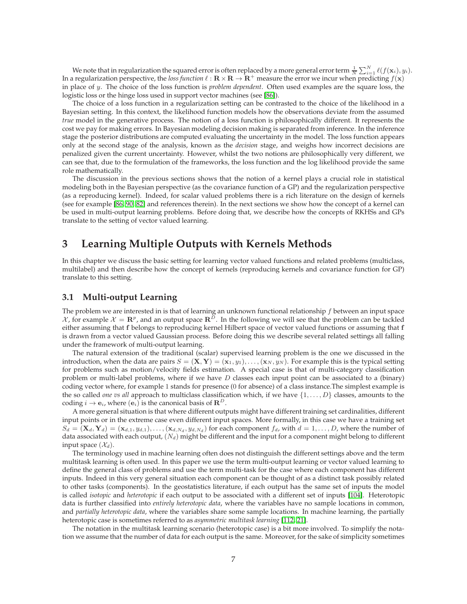We note that in regularization the squared error is often replaced by a more general error term  $\frac{1}{N}\sum_{i=1}^N \ell(f(\mathbf{x}_i),y_i)$ . In a regularization perspective, the *loss function*  $\ell : \mathbf{R} \times \mathbf{R} \to \mathbf{R}^+$  measure the error we incur when predicting  $f(\mathbf{x})$ in place of y. The choice of the loss function is *problem dependent*. Often used examples are the square loss, the logistic loss or the hinge loss used in support vector machines (see [\[86\]](#page-35-3)).

The choice of a loss function in a regularization setting can be contrasted to the choice of the likelihood in a Bayesian setting. In this context, the likelihood function models how the observations deviate from the assumed *true* model in the generative process. The notion of a loss function is philosophically different. It represents the cost we pay for making errors. In Bayesian modeling decision making is separated from inference. In the inference stage the posterior distributions are computed evaluating the uncertainty in the model. The loss function appears only at the second stage of the analysis, known as the *decision* stage, and weighs how incorrect decisions are penalized given the current uncertainty. However, whilst the two notions are philosophically very different, we can see that, due to the formulation of the frameworks, the loss function and the log likelihood provide the same role mathematically.

The discussion in the previous sections shows that the notion of a kernel plays a crucial role in statistical modeling both in the Bayesian perspective (as the covariance function of a GP) and the regularization perspective (as a reproducing kernel). Indeed, for scalar valued problems there is a rich literature on the design of kernels (see for example [\[86,](#page-35-3) [90,](#page-35-7) [82\]](#page-35-2) and references therein). In the next sections we show how the concept of a kernel can be used in multi-output learning problems. Before doing that, we describe how the concepts of RKHSs and GPs translate to the setting of vector valued learning.

## <span id="page-6-0"></span>**3 Learning Multiple Outputs with Kernels Methods**

In this chapter we discuss the basic setting for learning vector valued functions and related problems (multiclass, multilabel) and then describe how the concept of kernels (reproducing kernels and covariance function for GP) translate to this setting.

## <span id="page-6-1"></span>**3.1 Multi-output Learning**

The problem we are interested in is that of learning an unknown functional relationship  $f$  between an input space  $X$ , for example  $X = \mathbb{R}^p$ , and an output space  $\mathbb{R}^D$ . In the following we will see that the problem can be tackled either assuming that f belongs to reproducing kernel Hilbert space of vector valued functions or assuming that f is drawn from a vector valued Gaussian process. Before doing this we describe several related settings all falling under the framework of multi-output learning.

The natural extension of the traditional (scalar) supervised learning problem is the one we discussed in the introduction, when the data are pairs  $S = (\mathbf{X}, \mathbf{Y}) = (\mathbf{x}_1, y_1), \dots, (\mathbf{x}_N, y_N)$ . For example this is the typical setting for problems such as motion/velocity fields estimation. A special case is that of multi-category classification problem or multi-label problems, where if we have  $D$  classes each input point can be associated to a (binary) coding vector where, for example 1 stands for presence (0 for absence) of a class instance.The simplest example is the so called *one vs all* approach to multiclass classification which, if we have  $\{1, \ldots, D\}$  classes, amounts to the coding  $i \to \mathbf{e}_i$ , where  $(\mathbf{e}_i)$  is the canonical basis of  $\mathbf{R}^D$ .

A more general situation is that where different outputs might have different training set cardinalities, different input points or in the extreme case even different input spaces. More formally, in this case we have a training set  $S_d = (\mathbf{X}_d, \mathbf{Y}_d) = (\mathbf{x}_{d,1}, y_{d,1}), \ldots, (\mathbf{x}_{d,N_d}, y_{d,N_d})$  for each component  $f_d$ , with  $d = 1, \ldots, D$ , where the number of data associated with each output,  $(N_d)$  might be different and the input for a component might belong to different input space  $(\mathcal{X}_d)$ .

The terminology used in machine learning often does not distinguish the different settings above and the term multitask learning is often used. In this paper we use the term multi-output learning or vector valued learning to define the general class of problems and use the term multi-task for the case where each component has different inputs. Indeed in this very general situation each component can be thought of as a distinct task possibly related to other tasks (components). In the geostatistics literature, if each output has the same set of inputs the model is called *isotopic* and *heterotopic* if each output to be associated with a different set of inputs [\[104\]](#page-36-5). Heterotopic data is further classified into *entirely heterotopic data*, where the variables have no sample locations in common, and *partially heterotopic data*, where the variables share some sample locations. In machine learning, the partially heterotopic case is sometimes referred to as *asymmetric multitask learning* [\[112,](#page-36-6) [21\]](#page-32-5).

The notation in the multitask learning scenario (heterotopic case) is a bit more involved. To simplify the notation we assume that the number of data for each output is the same. Moreover, for the sake of simplicity sometimes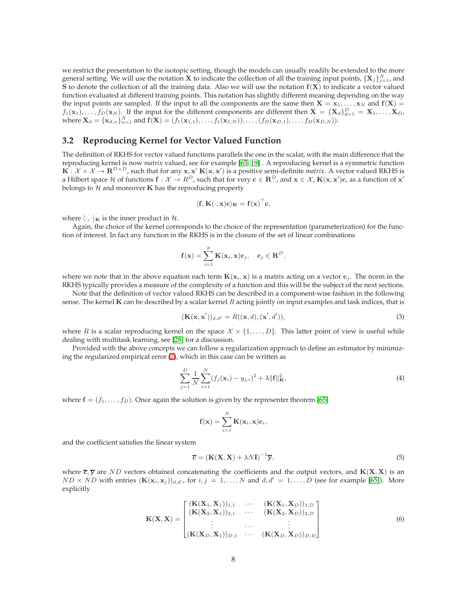we restrict the presentation to the isotopic setting, though the models can usually readily be extended to the more general setting. We will use the notation  $X$  to indicate the collection of all the training input points,  $\{X_j\}_{j=1}^N$ , and  $S$  to denote the collection of all the training data. Also we will use the notation  $f(X)$  to indicate a vector valued function evaluated at different training points. This notation has slightly different meaning depending on the way the input points are sampled. If the input to all the components are the same then  $X = x_1, \ldots, x_N$  and  $f(X) =$  $f_1(\mathbf{x}_1), \ldots, f_D(\mathbf{x}_N)$ . If the input for the different components are different then  $\mathbf{X} = {\mathbf{X}_d}_{d=1}^D = {\mathbf{X}_1, \ldots, \mathbf{X}_D}$ where  $\mathbf{X}_d = {\mathbf{x}_{d,n}}_{n=1}^N$  and  $\mathbf{f}(\mathbf{X}) = (f_1(\mathbf{x}_{1,1}), \dots, f_1(\mathbf{x}_{1,N})), \dots, (f_D(\mathbf{x}_{D,1}), \dots, f_D(\mathbf{x}_{D,N})).$ 

## <span id="page-7-0"></span>**3.2 Reproducing Kernel for Vector Valued Function**

The definition of RKHS for vector valued functions parallels the one in the scalar, with the main difference that the reproducing kernel is now *matrix* valued, see for example [\[65,](#page-34-1) [19\]](#page-32-4) . A reproducing kernel is a symmetric function  $\mathbf{K}: \mathcal{X} \times \mathcal{X} \to \mathbf{R}^{D \times D}$ , such that for any  $\mathbf{x}, \mathbf{x}' \mathbf{K}(\mathbf{x}, \mathbf{x}')$  is a positive semi-definite *matrix*. A vector valued RKHS is a Hilbert space H of functions  $f: \mathcal{X} \to R^D$ , such that for very  $\mathbf{c} \in \mathbf{R}^D$ , and  $\mathbf{x} \in \mathcal{X}$ ,  $\mathbf{K}(\mathbf{x},\mathbf{x}')\mathbf{c}$ , as a function of  $\mathbf{x}'$ belongs to  $\mathcal H$  and moreover  $\mathbf K$  has the reproducing property

$$
\langle \mathbf{f}, \mathbf{K}(\cdot, \mathbf{x}) \mathbf{c} \rangle_{\mathbf{K}} = \mathbf{f}(\mathbf{x})^{\top} \mathbf{c},
$$

where  $\langle \cdot, \cdot \rangle_{\mathbf{K}}$  is the inner product in H.

Again, the choice of the kernel corresponds to the choice of the representation (parameterization) for the function of interest. In fact any function in the RKHS is in the closure of the set of linear combinations

$$
\mathbf{f}(\mathbf{x}) = \sum_{i=1}^p \mathbf{K}(\mathbf{x}_i, \mathbf{x}) \mathbf{c}_j, \quad \mathbf{c}_j \in \mathbf{R}^D,
$$

where we note that in the above equation each term  $K(x_i, x)$  is a matrix acting on a vector  $c_j$ . The norm in the RKHS typically provides a measure of the complexity of a function and this will be the subject of the next sections.

Note that the definition of vector valued RKHS can be described in a component-wise fashion in the following sense. The kernel  $K$  can be described by a scalar kernel  $R$  acting jointly on input examples and task indices, that is

<span id="page-7-2"></span>
$$
(\mathbf{K}(\mathbf{x}, \mathbf{x}'))_{d, d'} = R((\mathbf{x}, d), (\mathbf{x}', d')), \qquad (3)
$$

where R is a scalar reproducing kernel on the space  $X \times \{1, \ldots, D\}$ . This latter point of view is useful while dealing with multitask learning, see [\[28\]](#page-33-5) for a discussion.

Provided with the above concepts we can follow a regularization approach to define an estimator by minimizing the regularized empirical error [\(2\)](#page-3-2), which in this case can be written as

$$
\sum_{j=1}^{D} \frac{1}{N} \sum_{i=1}^{N} (f_j(\mathbf{x}_i) - y_{j,i})^2 + \lambda ||\mathbf{f}||_{\mathbf{K}}^2,
$$
\n(4)

where  $\mathbf{f} = (f_1, \ldots, f_D)$ . Once again the solution is given by the representer theorem [\[65\]](#page-34-1)

$$
\mathbf{f}(\mathbf{x}) = \sum_{i=1}^N \mathbf{K}(\mathbf{x}_i, \mathbf{x}) \mathbf{c}_i,
$$

and the coefficient satisfies the linear system

<span id="page-7-3"></span><span id="page-7-1"></span>
$$
\overline{\mathbf{c}} = (\mathbf{K}(\mathbf{X}, \mathbf{X}) + \lambda N \mathbf{I})^{-1} \overline{\mathbf{y}},\tag{5}
$$

where  $\bar{c}$ ,  $\bar{y}$  are ND vectors obtained concatenating the coefficients and the output vectors, and  $K(X, X)$  is an  $ND \times ND$  with entries  $(\mathbf{K}(\mathbf{x}_i, \mathbf{x}_j))_{d,d'}$ , for  $i, j = 1, ..., N$  and  $d, d' = 1, ..., D$  (see for example [\[65\]](#page-34-1)). More explicitly

$$
\mathbf{K}(\mathbf{X}, \mathbf{X}) = \begin{bmatrix}\n(\mathbf{K}(\mathbf{X}_1, \mathbf{X}_1))_{1,1} & \cdots & (\mathbf{K}(\mathbf{X}_1, \mathbf{X}_D))_{1,D} \\
(\mathbf{K}(\mathbf{X}_2, \mathbf{X}_1))_{2,1} & \cdots & (\mathbf{K}(\mathbf{X}_2, \mathbf{X}_D))_{2,D} \\
\vdots & \cdots & \vdots \\
(\mathbf{K}(\mathbf{X}_D, \mathbf{X}_1))_{D,1} & \cdots & (\mathbf{K}(\mathbf{X}_D, \mathbf{X}_D))_{D,D}\n\end{bmatrix}
$$
\n(6)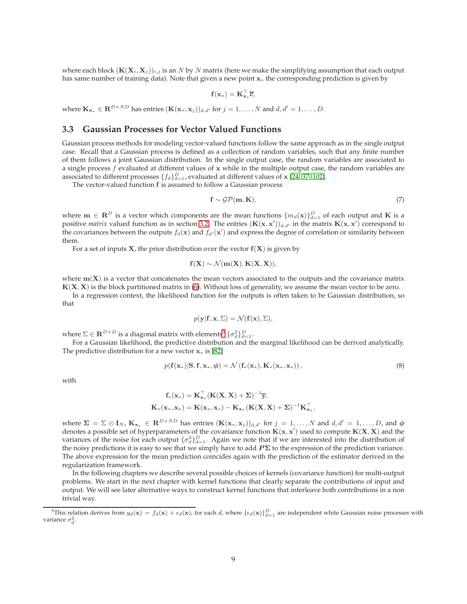where each block  $(K(X_i, X_j))_{i,j}$  is an N by N matrix (here we make the simplifying assumption that each output has same number of training data). Note that given a new point x<sup>∗</sup> the corresponding prediction is given by

$$
\mathbf{f}(\mathbf{x}_*) = \mathbf{K}_{\mathbf{x}_*}^\top \overline{\mathbf{c}},
$$

where  $\mathbf{K}_{\mathbf{x}_{*}} \in \mathbf{R}^{D \times ND}$  has entries  $(\mathbf{K}(\mathbf{x}_{*}, \mathbf{x}_{j}))_{d, d'}$  for  $j = 1, ..., N$  and  $d, d' = 1, ..., D$ .

### <span id="page-8-0"></span>**3.3 Gaussian Processes for Vector Valued Functions**

Gaussian process methods for modeling vector-valued functions follow the same approach as in the single output case. Recall that a Gaussian process is defined as a collection of random variables, such that any finite number of them follows a joint Gaussian distribution. In the single output case, the random variables are associated to a single process  $f$  evaluated at different values of  $x$  while in the multiple output case, the random variables are associated to different processes  $\{f_d\}_{d=1}^D$ , evaluated at different values of x [\[24,](#page-33-6) [37,](#page-33-0) [102\]](#page-36-7).

The vector-valued function f is assumed to follow a Gaussian process

$$
\mathbf{f} \sim \mathcal{GP}(\mathbf{m}, \mathbf{K}),\tag{7}
$$

where  $\bf m\in R^D$  is a vector which components are the mean functions  $\{m_d({\bf x})\}_{d=1}^D$  of each output and  $\bf K$  is a positive *matrix* valued function as in section [3.2.](#page-7-0) The entries  $(K(x, x'))_{d, d'}$  in the matrix  $K(x, x')$  correspond to the covariances between the outputs  $f_d(x)$  and  $f_{d'}(x')$  and express the degree of correlation or similarity between them.

For a set of inputs **X**, the prior distribution over the vector  $f(X)$  is given by

$$
\mathbf{f}(\mathbf{X}) \sim \mathcal{N}(\mathbf{m}(\mathbf{X}), \mathbf{K}(\mathbf{X}, \mathbf{X})),
$$

where  $m(X)$  is a vector that concatenates the mean vectors associated to the outputs and the covariance matrix  $K(X, X)$  is the block partitioned matrix in [\(6\)](#page-7-1). Without loss of generality, we assume the mean vector to be zero.

In a regression context, the likelihood function for the outputs is often taken to be Gaussian distribution, so that

$$
p(\mathbf{y}|\mathbf{f}, \mathbf{x}, \Sigma) = \mathcal{N}(\mathbf{f}(\mathbf{x}), \Sigma),
$$

where  $\Sigma \in \mathbf{R}^{D \times D}$  is a diagonal matrix with elements $^3\,\{\sigma^2_d\}_{d=1}^D.$  $^3\,\{\sigma^2_d\}_{d=1}^D.$  $^3\,\{\sigma^2_d\}_{d=1}^D.$ 

For a Gaussian likelihood, the predictive distribution and the marginal likelihood can be derived analytically. The predictive distribution for a new vector  $x_*$  is [\[82\]](#page-35-2)

$$
p(\mathbf{f}(\mathbf{x}_{*})|\mathbf{S}, \mathbf{f}, \mathbf{x}_{*}, \boldsymbol{\phi}) = \mathcal{N}(\mathbf{f}_{*}(\mathbf{x}_{*}), \mathbf{K}_{*}(\mathbf{x}_{*}, \mathbf{x}_{*})),
$$
\n(8)

,

with

$$
\begin{aligned} \mathbf{f}_*(\mathbf{x}_*) &= \mathbf{K}_{\mathbf{x}_*}^\top (\mathbf{K}(\mathbf{X}, \mathbf{X}) + \boldsymbol{\Sigma})^{-1} \overline{\mathbf{y}}, \\ \mathbf{K}_*(\mathbf{x}_*, \mathbf{x}_*) &= \mathbf{K}(\mathbf{x}_*, \mathbf{x}_*) - \mathbf{K}_{\mathbf{x}_*} (\mathbf{K}(\mathbf{X}, \mathbf{X}) + \boldsymbol{\Sigma})^{-1} \mathbf{K}_{\mathbf{x}_*}^\top \end{aligned}
$$

where  $\Sigma = \Sigma \otimes I_N$ ,  $K_{\mathbf{x}_*} \in \mathbf{R}^{D \times ND}$  has entries  $(\mathbf{K}(\mathbf{x}_*,\mathbf{x}_j))_{d,d'}$  for  $j = 1,\ldots,N$  and  $d,d' = 1,\ldots,D$ , and  $\phi$ denotes a possible set of hyperparameters of the covariance function  $K(x, x')$  used to compute  $K(X, X)$  and the variances of the noise for each output  $\{\sigma_d^2\}_{d=1}^D$ . Again we note that if we are interested into the distribution of the noisy predictions it is easy to see that we simply have to add  $P\Sigma$  to the expression of the prediction variance. The above expression for the mean prediction coincides again with the prediction of the estimator derived in the regularization framework.

In the following chapters we describe several possible choices of kernels (covariance function) for multi-output problems. We start in the next chapter with kernel functions that clearly separate the contributions of input and output. We will see later alternative ways to construct kernel functions that interleave both contributions in a non trivial way.

<span id="page-8-1"></span><sup>&</sup>lt;sup>3</sup>This relation derives from  $y_d(\mathbf{x}) = f_d(\mathbf{x}) + \epsilon_d(\mathbf{x})$ , for each d, where  $\{\epsilon_d(\mathbf{x})\}_{d=1}^D$  are independent white Gaussian noise processes with variance  $\sigma_d^2$ .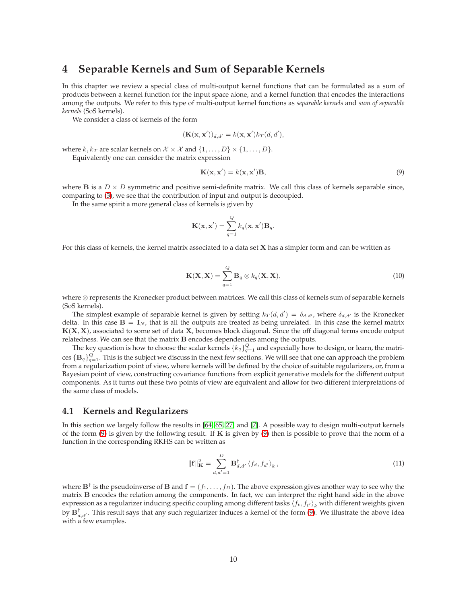## <span id="page-9-0"></span>**4 Separable Kernels and Sum of Separable Kernels**

In this chapter we review a special class of multi-output kernel functions that can be formulated as a sum of products between a kernel function for the input space alone, and a kernel function that encodes the interactions among the outputs. We refer to this type of multi-output kernel functions as *separable kernels* and *sum of separable kernels* (SoS kernels).

We consider a class of kernels of the form

$$
(\mathbf{K}(\mathbf{x}, \mathbf{x}'))_{d, d'} = k(\mathbf{x}, \mathbf{x}') k_T(d, d'),
$$

where  $k, k_T$  are scalar kernels on  $\mathcal{X} \times \mathcal{X}$  and  $\{1, \ldots, D\} \times \{1, \ldots, D\}$ .

Equivalently one can consider the matrix expression

<span id="page-9-2"></span>
$$
\mathbf{K}(\mathbf{x}, \mathbf{x}') = k(\mathbf{x}, \mathbf{x}') \mathbf{B},\tag{9}
$$

where **B** is a  $D \times D$  symmetric and positive semi-definite matrix. We call this class of kernels separable since, comparing to [\(3\)](#page-7-2), we see that the contribution of input and output is decoupled.

In the same spirit a more general class of kernels is given by

$$
\mathbf{K}(\mathbf{x}, \mathbf{x}') = \sum_{q=1}^{Q} k_q(\mathbf{x}, \mathbf{x}') \mathbf{B}_q.
$$

For this class of kernels, the kernel matrix associated to a data set  $X$  has a simpler form and can be written as

<span id="page-9-3"></span>
$$
\mathbf{K}(\mathbf{X}, \mathbf{X}) = \sum_{q=1}^{Q} \mathbf{B}_q \otimes k_q(\mathbf{X}, \mathbf{X}),
$$
\n(10)

where ⊗ represents the Kronecker product between matrices. We call this class of kernels sum of separable kernels (SoS kernels).

The simplest example of separable kernel is given by setting  $k_T(d, d') = \delta_{d, d'}$ , where  $\delta_{d, d'}$  is the Kronecker delta. In this case  $B = I_N$ , that is all the outputs are treated as being unrelated. In this case the kernel matrix  $K(X, X)$ , associated to some set of data X, becomes block diagonal. Since the off diagonal terms encode output relatedness. We can see that the matrix B encodes dependencies among the outputs.

The key question is how to choose the scalar kernels  $\{k_q\}_{q=1}^Q$  and especially how to design, or learn, the matrices  $\{ {\bf B}_q\}_{q=1}^Q$ . This is the subject we discuss in the next few sections. We will see that one can approach the problem from a regularization point of view, where kernels will be defined by the choice of suitable regularizers, or, from a Bayesian point of view, constructing covariance functions from explicit generative models for the different output components. As it turns out these two points of view are equivalent and allow for two different interpretations of the same class of models.

## <span id="page-9-1"></span>**4.1 Kernels and Regularizers**

In this section we largely follow the results in [\[64,](#page-34-3) [65,](#page-34-1) [27\]](#page-33-7) and [\[7\]](#page-32-6). A possible way to design multi-output kernels of the form  $(9)$  is given by the following result. If  $\bf{K}$  is given by  $(9)$  then is possible to prove that the norm of a function in the corresponding RKHS can be written as

$$
\|\mathbf{f}\|_{\mathbf{K}}^2 = \sum_{d,d'=1}^D \mathbf{B}_{d,d'}^\dagger \left\langle f_d, f_{d'} \right\rangle_k,\tag{11}
$$

where  $B^{\dagger}$  is the pseudoinverse of  $B$  and  $f=(f_1,\ldots,f_D).$  The above expression gives another way to see why the matrix B encodes the relation among the components. In fact, we can interpret the right hand side in the above expression as a regularizer inducing specific coupling among different tasks  $\langle f_t, f_{t'}\rangle_k$  with different weights given by  $\bf{B}_{d,d'}^{\dagger}$ . This result says that any such regularizer induces a kernel of the form [\(9\)](#page-9-2). We illustrate the above idea with a few examples.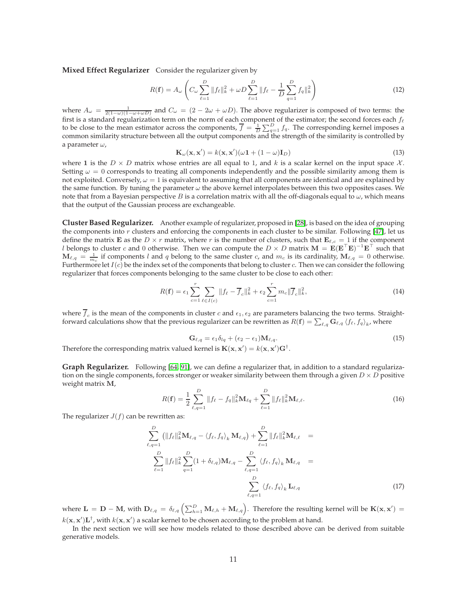**Mixed Effect Regularizer** Consider the regularizer given by

$$
R(\mathbf{f}) = A_{\omega} \left( C_{\omega} \sum_{\ell=1}^{D} ||f_{\ell}||_{k}^{2} + \omega D \sum_{\ell=1}^{D} ||f_{\ell} - \frac{1}{D} \sum_{q=1}^{D} f_{q}||_{k}^{2} \right)
$$
(12)

where  $A_\omega = \frac{1}{2(1-\omega)(1-\omega+\omega D)}$  and  $C_\omega = (2-2\omega+\omega D)$ . The above regularizer is composed of two terms: the first is a standard regularization term on the norm of each component of the estimator; the second forces each  $f_\ell$ to be close to the mean estimator across the components,  $\overline{f} = \frac{1}{D} \sum_{q=1}^{D} f_q$ . The corresponding kernel imposes a common similarity structure between all the output components and the strength of the similarity is controlled by a parameter  $\omega$ ,

$$
\mathbf{K}_{\omega}(\mathbf{x}, \mathbf{x}') = k(\mathbf{x}, \mathbf{x}')(\omega \mathbf{1} + (1 - \omega)\mathbf{I}_D)
$$
(13)

where 1 is the  $D \times D$  matrix whose entries are all equal to 1, and k is a scalar kernel on the input space X. Setting  $\omega = 0$  corresponds to treating all components independently and the possible similarity among them is not exploited. Conversely,  $\omega = 1$  is equivalent to assuming that all components are identical and are explained by the same function. By tuning the parameter  $\omega$  the above kernel interpolates between this two opposites cases. We note that from a Bayesian perspective B is a correlation matrix with all the off-diagonals equal to  $\omega$ , which means that the output of the Gaussian process are exchangeable.

**Cluster Based Regularizer.** Another example of regularizer, proposed in [\[28\]](#page-33-5), is based on the idea of grouping the components into  $r$  clusters and enforcing the components in each cluster to be similar. Following [\[47\]](#page-33-8), let us define the matrix **E** as the  $D \times r$  matrix, where r is the number of clusters, such that  $\mathbf{E}_{\ell,c} = 1$  if the component l belongs to cluster c and 0 otherwise. Then we can compute the  $D\times D$  matrix  $\mathbf{M} = \mathbf{E}(\mathbf{E}^\top\mathbf{E})^{-1}\mathbf{E}^\top$  such that  $\mathbf{M}_{\ell,q} = \frac{1}{m_c}$  if components l and q belong to the same cluster c, and  $m_c$  is its cardinality,  $\mathbf{M}_{\ell,q} = 0$  otherwise. Furthermore let  $I(c)$  be the index set of the components that belong to cluster c. Then we can consider the following regularizer that forces components belonging to the same cluster to be close to each other:

<span id="page-10-0"></span>
$$
R(\mathbf{f}) = \epsilon_1 \sum_{c=1}^{r} \sum_{\ell \in I(c)} ||f_{\ell} - \overline{f}_{c}||_{k}^{2} + \epsilon_2 \sum_{c=1}^{r} m_c ||\overline{f}_{c}||_{k}^{2},
$$
\n(14)

where  $f_c$  is the mean of the components in cluster  $c$  and  $\epsilon_1, \epsilon_2$  are parameters balancing the two terms. Straightforward calculations show that the previous regularizer can be rewritten as  $R(f) = \sum_{\ell,q} \mathbf{G}_{\ell,q} \langle f_\ell, f_q \rangle_{k'}$ , where

<span id="page-10-1"></span>
$$
\mathbf{G}_{\ell,q} = \epsilon_1 \delta_{lq} + (\epsilon_2 - \epsilon_1) \mathbf{M}_{\ell,q}.
$$
\n(15)

Therefore the corresponding matrix valued kernel is  ${\bf K}({\bf x},{\bf x}')=k({\bf x},{\bf x}'){\bf G}^\dagger.$ 

**Graph Regularizer.** Following [\[64,](#page-34-3) [91\]](#page-35-8), we can define a regularizer that, in addition to a standard regularization on the single components, forces stronger or weaker similarity between them through a given  $D \times D$  positive weight matrix M,

$$
R(\mathbf{f}) = \frac{1}{2} \sum_{\ell,q=1}^{D} ||f_{\ell} - f_{q}||_{k}^{2} \mathbf{M}_{\ell q} + \sum_{\ell=1}^{D} ||f_{\ell}||_{k}^{2} \mathbf{M}_{\ell,\ell}.
$$
 (16)

The regularizer  $J(f)$  can be rewritten as:

$$
\sum_{\ell,q=1}^{D} (||f_{\ell}||_{k}^{2} \mathbf{M}_{\ell,q} - \langle f_{\ell}, f_{q} \rangle_{k} \mathbf{M}_{\ell,q}) + \sum_{\ell=1}^{D} ||f_{\ell}||_{k}^{2} \mathbf{M}_{\ell,\ell} =
$$
\n
$$
\sum_{\ell=1}^{D} ||f_{\ell}||_{k}^{2} \sum_{q=1}^{D} (1 + \delta_{\ell,q}) \mathbf{M}_{\ell,q} - \sum_{\ell,q=1}^{D} \langle f_{\ell}, f_{q} \rangle_{k} \mathbf{M}_{\ell,q} =
$$
\n
$$
\sum_{\ell,q=1}^{D} \langle f_{\ell}, f_{q} \rangle_{k} \mathbf{L}_{\ell,q} \qquad (17)
$$

where  $\mathbf{L} = \mathbf{D} - \mathbf{M}$ , with  $\mathbf{D}_{\ell,q} = \delta_{\ell,q} \left( \sum_{h=1}^{D} \mathbf{M}_{\ell,h} + \mathbf{M}_{\ell,q} \right)$ . Therefore the resulting kernel will be  $\mathbf{K}(\mathbf{x},\mathbf{x}') =$  $k(\mathbf{x}, \mathbf{x}')$ L<sup>†</sup>, with  $k(\mathbf{x}, \mathbf{x}')$  a scalar kernel to be chosen according to the problem at hand.

In the next section we will see how models related to those described above can be derived from suitable generative models.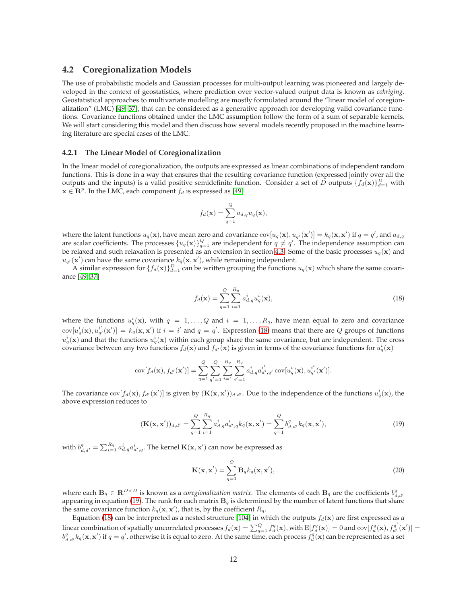## <span id="page-11-0"></span>**4.2 Coregionalization Models**

The use of probabilistic models and Gaussian processes for multi-output learning was pioneered and largely developed in the context of geostatistics, where prediction over vector-valued output data is known as *cokriging*. Geostatistical approaches to multivariate modelling are mostly formulated around the "linear model of coregionalization" (LMC) [\[49,](#page-34-4) [37\]](#page-33-0), that can be considered as a generative approach for developing valid covariance functions. Covariance functions obtained under the LMC assumption follow the form of a sum of separable kernels. We will start considering this model and then discuss how several models recently proposed in the machine learning literature are special cases of the LMC.

#### <span id="page-11-1"></span>**4.2.1 The Linear Model of Coregionalization**

In the linear model of coregionalization, the outputs are expressed as linear combinations of independent random functions. This is done in a way that ensures that the resulting covariance function (expressed jointly over all the outputs and the inputs) is a valid positive semidefinite function. Consider a set of D outputs  $\{f_d(\mathbf{x})\}_{d=1}^D$  with  $\mathbf{x} \in \mathbb{R}^p$ . In the LMC, each component  $f_d$  is expressed as [\[49\]](#page-34-4)

$$
f_d(\mathbf{x}) = \sum_{q=1}^Q a_{d,q} u_q(\mathbf{x}),
$$

where the latent functions  $u_q(\mathbf{x})$ , have mean zero and covariance  $cov[u_q(\mathbf{x}), u_{q'}(\mathbf{x}')] = k_q(\mathbf{x}, \mathbf{x}')$  if  $q = q'$ , and  $a_{d,q}$ are scalar coefficients. The processes  $\{u_q(\mathbf{x})\}_{q=1}^Q$  are independent for  $q \neq q'$ . The independence assumption can be relaxed and such relaxation is presented as an extension in section [4.3.](#page-18-0) Some of the basic processes  $u_q(\mathbf{x})$  and  $u_{q'}(\mathbf{x}')$  can have the same covariance  $k_q(\mathbf{x}, \mathbf{x}')$ , while remaining independent.

A similar expression for  $\{f_d(\mathbf{x})\}_{d=1}^D$  can be written grouping the functions  $u_q(\mathbf{x})$  which share the same covariance [\[49,](#page-34-4) [37\]](#page-33-0)

<span id="page-11-2"></span>
$$
f_d(\mathbf{x}) = \sum_{q=1}^{Q} \sum_{i=1}^{R_q} a_{d,q}^i u_q^i(\mathbf{x}),
$$
\n(18)

where the functions  $u_q^i(\mathbf{x})$ , with  $q = 1, \ldots, Q$  and  $i = 1, \ldots, R_q$ , have mean equal to zero and covariance  $cov[u_q^i(\mathbf{x}), u_{q'}^{i'}(\mathbf{x}')] = k_q(\mathbf{x}, \mathbf{x}')$  if  $i = i'$  and  $q = q'$ . Expression [\(18\)](#page-11-2) means that there are  $Q$  groups of functions  $u_q^i(\mathbf{x})$  and that the functions  $u_q^i(\mathbf{x})$  within each group share the same covariance, but are independent. The cross covariance between any two functions  $f_d(x)$  and  $f_{d'}(x)$  is given in terms of the covariance functions for  $u_q^i(x)$ 

$$
cov[f_d(\mathbf{x}), f_{d'}(\mathbf{x}')] = \sum_{q=1}^{Q} \sum_{q'=1}^{Q} \sum_{i=1}^{R_q} \sum_{i'=1}^{R_q} a_{d,q}^{i} a_{d',q'}^{i'} \, cov[u_q^i(\mathbf{x}), u_{q'}^{i'}(\mathbf{x}')] .
$$

The covariance  $cov[f_d(\mathbf{x}), f_{d'}(\mathbf{x}')]$  is given by  $(\mathbf{K}(\mathbf{x}, \mathbf{x}'))_{d, d'}$ . Due to the independence of the functions  $u_q^i(\mathbf{x})$ , the above expression reduces to

$$
(\mathbf{K}(\mathbf{x}, \mathbf{x}'))_{d,d'} = \sum_{q=1}^{Q} \sum_{i=1}^{R_q} a_{d,q}^i a_{d',q}^i k_q(\mathbf{x}, \mathbf{x}') = \sum_{q=1}^{Q} b_{d,d'}^q k_q(\mathbf{x}, \mathbf{x}'),
$$
(19)

with  $b_{d,d'}^q = \sum_{i=1}^{R_q} a_{d,q}^i a_{d',q}^i.$  The kernel  $\mathbf{K}(\mathbf{x},\mathbf{x}')$  can now be expressed as

<span id="page-11-3"></span>
$$
\mathbf{K}(\mathbf{x}, \mathbf{x}') = \sum_{q=1}^{Q} \mathbf{B}_{q} k_{q}(\mathbf{x}, \mathbf{x}'),
$$
\n(20)

where each  $B_q \in R^{D \times D}$  is known as a *coregionalization matrix*. The elements of each  $B_q$  are the coefficients  $b_{d,d'}^q$ appearing in equation [\(19\)](#page-11-3). The rank for each matrix  $B_q$  is determined by the number of latent functions that share the same covariance function  $k_q(\mathbf{x}, \mathbf{x}')$ , that is, by the coefficient  $R_q$ .

Equation [\(18\)](#page-11-2) can be interpreted as a nested structure [\[104\]](#page-36-5) in which the outputs  $f_d(\mathbf{x})$  are first expressed as a linear combination of spatially uncorrelated processes  $f_d(\mathbf{x}) = \sum_{q=1}^Q f_d^q(\mathbf{x})$ , with  $\mathrm{E}[f_d^q(\mathbf{x})] = 0$  and  $\mathrm{cov}[f_d^q(\mathbf{x}), f_{d'}^{q'}(\mathbf{x'})] = 0$  $b_{d,d'}^q k_q(\mathbf{x},\mathbf{x'})$  if  $q=q'$ , otherwise it is equal to zero. At the same time, each process  $f_d^q(\mathbf{x})$  can be represented as a set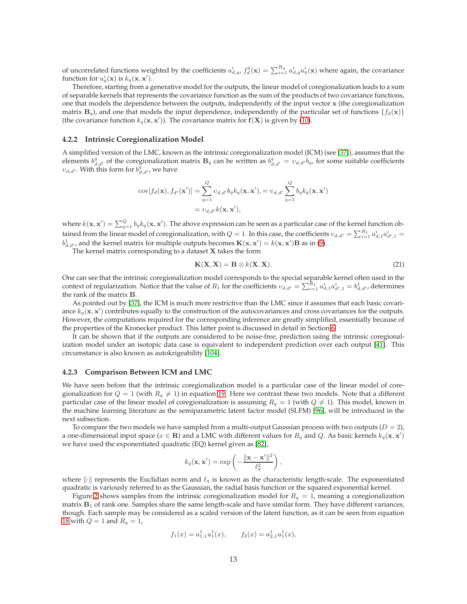of uncorrelated functions weighted by the coefficients  $a_{d,q}^i$ ,  $f_d^q(\mathbf{x}) = \sum_{i=1}^{R_q} a_{d,q}^i u_q^i(\mathbf{x})$  where again, the covariance function for  $u_q^i(\mathbf{x})$  is  $k_q(\mathbf{x}, \mathbf{x}')$ .

Therefore, starting from a generative model for the outputs, the linear model of coregionalization leads to a sum of separable kernels that represents the covariance function as the sum of the products of two covariance functions, one that models the dependence between the outputs, independently of the input vector x (the coregionalization matrix  $B_q$ ), and one that models the input dependence, independently of the particular set of functions  $\{f_d(\mathbf{x})\}$ (the covariance function  $k_q(\mathbf{x}, \mathbf{x}')$ ). The covariance matrix for  $f(\mathbf{X})$  is given by [\(10\)](#page-9-3).

#### <span id="page-12-0"></span>**4.2.2 Intrinsic Coregionalization Model**

A simplified version of the LMC, known as the intrinsic coregionalization model (ICM) (see [\[37\]](#page-33-0)), assumes that the elements  $b_{d,d'}^q$  of the coregionalization matrix  $B_q$  can be written as  $b_{d,d'}^q = v_{d,d'}b_q$ , for some suitable coefficients  $v_{d,d'}$ . With this form for  $b^{\bar{q}}_{d,d'}$ , we have

$$
cov[f_d(\mathbf{x}), f_{d'}(\mathbf{x}')] = \sum_{q=1}^{Q} \upsilon_{d,d'} b_q k_q(\mathbf{x}, \mathbf{x}'), = \upsilon_{d,d'} \sum_{q=1}^{Q} b_q k_q(\mathbf{x}, \mathbf{x}')
$$
  
=  $\upsilon_{d,d'} k(\mathbf{x}, \mathbf{x}'),$ 

where  $k(\mathbf{x},\mathbf{x}')=\sum_{q=1}^Q b_qk_q(\mathbf{x},\mathbf{x}')$ . The above expression can be seen as a particular case of the kernel function obtained from the linear model of coregionalization, with  $Q=1$ . In this case, the coefficients  $v_{d,d'} = \sum_{i=1}^{R_1} a_{d,1}^i a_{d',1}^i =$  $b_{d,d'}^1$ , and the kernel matrix for multiple outputs becomes  ${\bf K}({\bf x},{\bf x}')=k({\bf x},{\bf x}'){\bf B}$  as in [\(9\)](#page-9-2).

The kernel matrix corresponding to a dataset  $X$  takes the form

$$
K(X, X) = B \otimes k(X, X). \tag{21}
$$

One can see that the intrinsic coregionalization model corresponds to the special separable kernel often used in the context of regularization. Notice that the value of  $R_1$  for the coefficients  $v_{d,d'} = \sum_{i=1}^{R_1} a_{d,1}^i a_{d',1}^i = b_{d,d'}^1$ , determines the rank of the matrix B.

As pointed out by [\[37\]](#page-33-0), the ICM is much more restrictive than the LMC since it assumes that each basic covariance  $k_q(\mathbf{x}, \mathbf{x}')$  contributes equally to the construction of the autocovariances and cross covariances for the outputs. However, the computations required for the corresponding inference are greatly simplified, essentially because of the properties of the Kronecker product. This latter point is discussed in detail in Section [6.](#page-25-0)

It can be shown that if the outputs are considered to be noise-free, prediction using the intrinsic coregionalization model under an isotopic data case is equivalent to independent prediction over each output [\[41\]](#page-33-9). This circumstance is also known as autokrigeability [\[104\]](#page-36-5).

#### <span id="page-12-1"></span>**4.2.3 Comparison Between ICM and LMC**

We have seen before that the intrinsic coregionalization model is a particular case of the linear model of coregionalization for  $Q = 1$  (with  $R_q \neq 1$ ) in equation [19.](#page-11-3) Here we contrast these two models. Note that a different particular case of the linear model of coregionalization is assuming  $R_q = 1$  (with  $Q \neq 1$ ). This model, known in the machine learning literature as the semiparametric latent factor model (SLFM) [\[96\]](#page-36-8), will be introduced in the next subsection.

To compare the two models we have sampled from a multi-output Gaussian process with two outputs  $(D = 2)$ , a one-dimensional input space ( $x \in \mathbb{R}$ ) and a LMC with different values for  $R_q$  and Q. As basic kernels  $k_q(\mathbf{x}, \mathbf{x}')$ we have used the exponentiated quadratic (EQ) kernel given as [\[82\]](#page-35-2),

$$
k_q(\mathbf{x}, \mathbf{x}') = \exp\left(-\frac{\|\mathbf{x} - \mathbf{x}'\|^2}{\ell_q^2}\right),\,
$$

where  $\|\cdot\|$  represents the Euclidian norm and  $\ell_q$  is known as the characteristic length-scale. The exponentiated quadratic is variously referred to as the Gaussian, the radial basis function or the squared exponential kernel.

Figure [2](#page-13-0) shows samples from the intrinsic coregionalization model for  $R_q = 1$ , meaning a coregionalization matrix  $B_1$  of rank one. Samples share the same length-scale and have similar form. They have different variances, though. Each sample may be considered as a scaled version of the latent function, as it can be seen from equation [18](#page-11-2) with  $Q = 1$  and  $R_q = 1$ ,

$$
f_1(x) = a_{1,1}^1 u_1^1(x), \qquad f_2(x) = a_{2,1}^1 u_1^1(x),
$$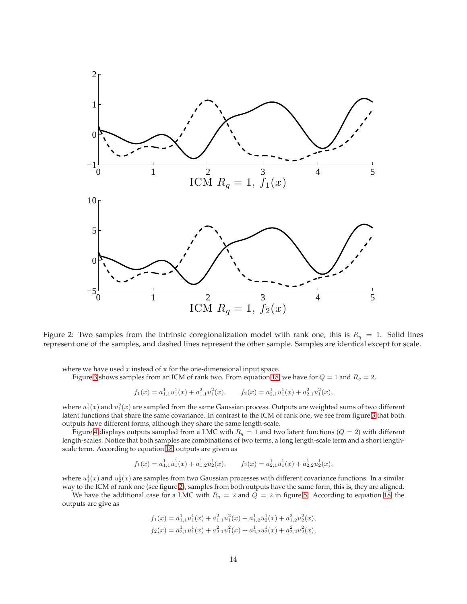<span id="page-13-0"></span>

Figure 2: Two samples from the intrinsic coregionalization model with rank one, this is  $R_q = 1$ . Solid lines represent one of the samples, and dashed lines represent the other sample. Samples are identical except for scale.

where we have used  $x$  instead of  $x$  for the one-dimensional input space.

Figure [3](#page-14-1) shows samples from an ICM of rank two. From equation [18,](#page-11-2) we have for  $Q = 1$  and  $R_q = 2$ ,

$$
f_1(x) = a_{1,1}^1 u_1^1(x) + a_{1,1}^2 u_1^2(x), \qquad f_2(x) = a_{2,1}^1 u_1^1(x) + a_{2,1}^2 u_1^2(x),
$$

where  $u_1^1(x)$  and  $u_1^2(x)$  are sampled from the same Gaussian process. Outputs are weighted sums of two different latent functions that share the same covariance. In contrast to the ICM of rank one, we see from figure [3](#page-14-1) that both outputs have different forms, although they share the same length-scale.

Figure [4](#page-15-0) displays outputs sampled from a LMC with  $R_q = 1$  and two latent functions ( $Q = 2$ ) with different length-scales. Notice that both samples are combinations of two terms, a long length-scale term and a short lengthscale term. According to equation [18,](#page-11-2) outputs are given as

$$
f_1(x) = a_{1,1}^1 u_1^1(x) + a_{1,2}^1 u_2^1(x),
$$
  $f_2(x) = a_{2,1}^1 u_1^1(x) + a_{2,2}^1 u_2^1(x),$ 

where  $u_1^1(x)$  and  $u_2^1(x)$  are samples from two Gaussian processes with different covariance functions. In a similar way to the ICM of rank one (see figure [2\)](#page-13-0), samples from both outputs have the same form, this is, they are aligned.

We have the additional case for a LMC with  $R_q = 2$  and  $Q = 2$  in figure [5.](#page-16-0) According to equation [18,](#page-11-2) the outputs are give as

$$
f_1(x) = a_{1,1}^1 u_1^1(x) + a_{1,1}^2 u_1^2(x) + a_{1,2}^1 u_2^1(x) + a_{1,2}^2 u_2^2(x),
$$
  
\n
$$
f_2(x) = a_{2,1}^1 u_1^1(x) + a_{2,1}^2 u_1^2(x) + a_{2,2}^1 u_2^1(x) + a_{2,2}^2 u_2^2(x),
$$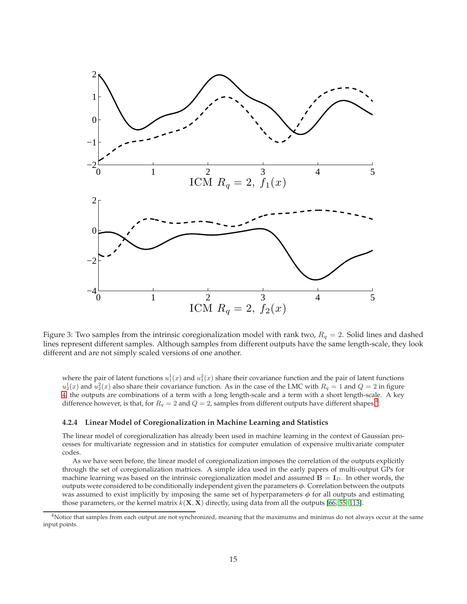<span id="page-14-1"></span>

Figure 3: Two samples from the intrinsic coregionalization model with rank two,  $R_q = 2$ . Solid lines and dashed lines represent different samples. Although samples from different outputs have the same length-scale, they look different and are not simply scaled versions of one another.

where the pair of latent functions  $u_1^1(x)$  and  $u_1^2(x)$  share their covariance function and the pair of latent functions  $u_2^1(x)$  and  $u_2^2(x)$  also share their covariance function. As in the case of the LMC with  $R_q = 1$  and  $Q = 2$  in figure [4,](#page-15-0) the outputs are combinations of a term with a long length-scale and a term with a short length-scale. A key difference however, is that, for  $R_q = 2$  and  $Q = 2$ , samples from different outputs have different shapes.<sup>[4](#page-14-2)</sup>

#### <span id="page-14-0"></span>**4.2.4 Linear Model of Coregionalization in Machine Learning and Statistics**

The linear model of coregionalization has already been used in machine learning in the context of Gaussian processes for multivariate regression and in statistics for computer emulation of expensive multivariate computer codes.

As we have seen before, the linear model of coregionalization imposes the correlation of the outputs explicitly through the set of coregionalization matrices. A simple idea used in the early papers of multi-output GPs for machine learning was based on the intrinsic coregionalization model and assumed  $B = I<sub>D</sub>$ . In other words, the outputs were considered to be conditionally independent given the parameters  $\phi$ . Correlation between the outputs was assumed to exist implicitly by imposing the same set of hyperparameters  $\phi$  for all outputs and estimating those parameters, or the kernel matrix  $k(\mathbf{X}, \mathbf{X})$  directly, using data from all the outputs [\[66,](#page-34-5) [55,](#page-34-6) [113\]](#page-36-9).

<span id="page-14-2"></span><sup>&</sup>lt;sup>4</sup>Notice that samples from each output are not synchronized, meaning that the maximums and minimus do not always occur at the same input points.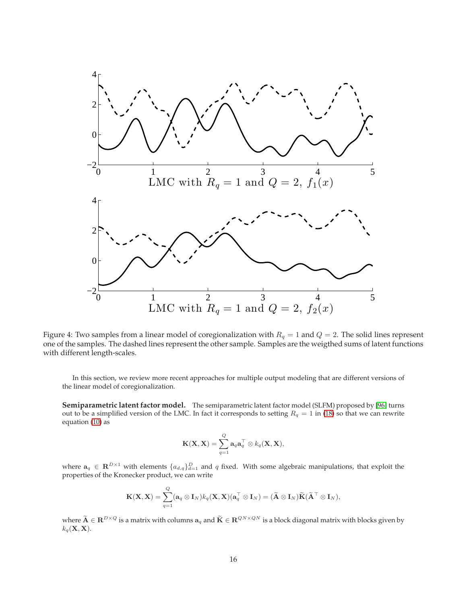<span id="page-15-0"></span>

Figure 4: Two samples from a linear model of coregionalization with  $R_q = 1$  and  $Q = 2$ . The solid lines represent one of the samples. The dashed lines represent the other sample. Samples are the weigthed sums of latent functions with different length-scales.

In this section, we review more recent approaches for multiple output modeling that are different versions of the linear model of coregionalization.

**Semiparametric latent factor model.** The semiparametric latent factor model (SLFM) proposed by [\[96\]](#page-36-8) turns out to be a simplified version of the LMC. In fact it corresponds to setting  $R_q = 1$  in [\(18\)](#page-11-2) so that we can rewrite equation [\(10\)](#page-9-3) as

$$
\mathbf{K}(\mathbf{X}, \mathbf{X}) = \sum_{q=1}^Q \mathbf{a}_q \mathbf{a}_q^{\top} \otimes k_q(\mathbf{X}, \mathbf{X}),
$$

where  $a_q \in \mathbf{R}^{D\times 1}$  with elements  $\{a_{d,q}\}_{d=1}^D$  and  $q$  fixed. With some algebraic manipulations, that exploit the properties of the Kronecker product, we can write

$$
\mathbf{K}(\mathbf{X},\mathbf{X})=\sum_{q=1}^Q(\mathbf{a}_q\otimes \mathbf{I}_N)k_q(\mathbf{X},\mathbf{X})(\mathbf{a}_q^\top\otimes \mathbf{I}_N)=(\widetilde{\mathbf{A}}\otimes \mathbf{I}_N)\widetilde{\mathbf{K}}(\widetilde{\mathbf{A}}^\top\otimes \mathbf{I}_N),
$$

where  $\widetilde{\mathbf{A}} \in \mathbf{R}^{D \times Q}$  is a matrix with columns  $\mathbf{a}_q$  and  $\widetilde{\mathbf{K}} \in \mathbf{R}^{QN \times QN}$  is a block diagonal matrix with blocks given by  $k_q(\mathbf{X}, \mathbf{X}).$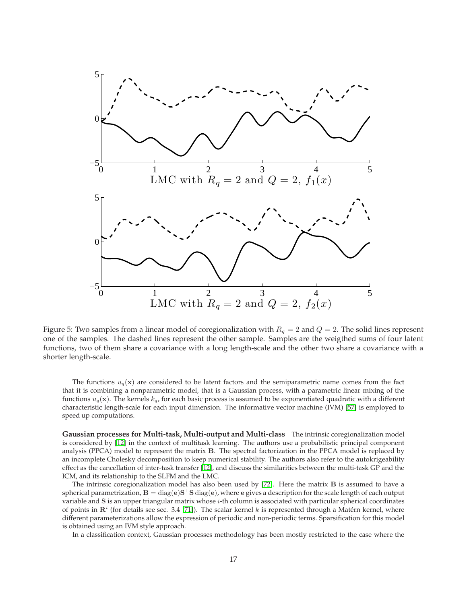<span id="page-16-0"></span>

Figure 5: Two samples from a linear model of coregionalization with  $R_q = 2$  and  $Q = 2$ . The solid lines represent one of the samples. The dashed lines represent the other sample. Samples are the weigthed sums of four latent functions, two of them share a covariance with a long length-scale and the other two share a covariance with a shorter length-scale.

The functions  $u_q(x)$  are considered to be latent factors and the semiparametric name comes from the fact that it is combining a nonparametric model, that is a Gaussian process, with a parametric linear mixing of the functions  $u_q(\mathbf{x})$ . The kernels  $k_q$ , for each basic process is assumed to be exponentiated quadratic with a different characteristic length-scale for each input dimension. The informative vector machine (IVM) [\[57\]](#page-34-7) is employed to speed up computations.

**Gaussian processes for Multi-task, Multi-output and Multi-class** The intrinsic coregionalization model is considered by [\[12\]](#page-32-1) in the context of multitask learning. The authors use a probabilistic principal component analysis (PPCA) model to represent the matrix B. The spectral factorization in the PPCA model is replaced by an incomplete Cholesky decomposition to keep numerical stability. The authors also refer to the autokrigeability effect as the cancellation of inter-task transfer [\[12\]](#page-32-1), and discuss the similarities between the multi-task GP and the ICM, and its relationship to the SLFM and the LMC.

The intrinsic coregionalization model has also been used by [\[72\]](#page-35-0). Here the matrix B is assumed to have a spherical parametrization,  $\rm B = diag(e)S^\top S$   $\rm diag(e)$ , where  $\rm e$  gives a description for the scale length of each output variable and  $S$  is an upper triangular matrix whose  $i$ -th column is associated with particular spherical coordinates of points in  $\mathbb{R}^i$  (for details see sec. 3.4 [\[71\]](#page-35-9)). The scalar kernel k is represented through a Matérn kernel, where different parameterizations allow the expression of periodic and non-periodic terms. Sparsification for this model is obtained using an IVM style approach.

In a classification context, Gaussian processes methodology has been mostly restricted to the case where the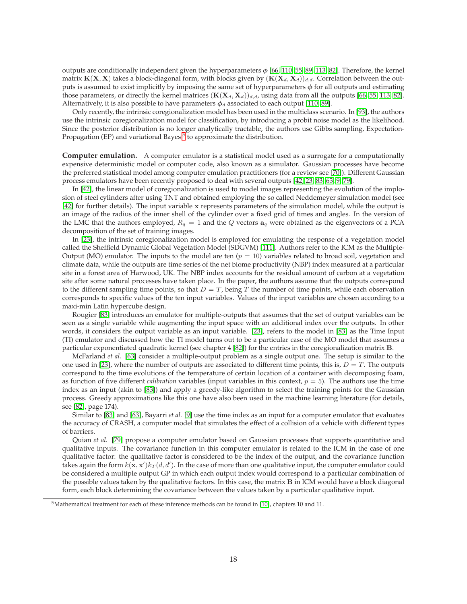outputs are conditionally independent given the hyperparameters  $\phi$  [\[66,](#page-34-5) [110,](#page-36-10) [55,](#page-34-6) [89,](#page-35-10) [113,](#page-36-9) [82\]](#page-35-2). Therefore, the kernel matrix  $K(X, X)$  takes a block-diagonal form, with blocks given by  $(K(X_d, X_d))_{d,d}$ . Correlation between the outputs is assumed to exist implicitly by imposing the same set of hyperparameters  $\phi$  for all outputs and estimating those parameters, or directly the kernel matrices  $(K(X_d, X_d))_{d,d}$ , using data from all the outputs [\[66,](#page-34-5) [55,](#page-34-6) [113,](#page-36-9) [82\]](#page-35-2). Alternatively, it is also possible to have parameters  $\phi_d$  associated to each output [\[110,](#page-36-10) [89\]](#page-35-10).

Only recently, the intrinsic coregionalization model has been used in the multiclass scenario. In [\[93\]](#page-35-11), the authors use the intrinsic coregionalization model for classification, by introducing a probit noise model as the likelihood. Since the posterior distribution is no longer analytically tractable, the authors use Gibbs sampling, Expectation-Propagation (EP) and variational Bayes  $^5$  $^5$  to approximate the distribution.

**Computer emulation.** A computer emulator is a statistical model used as a surrogate for a computationally expensive deterministic model or computer code, also known as a simulator. Gaussian processes have become the preferred statistical model among computer emulation practitioners (for a review see [\[70\]](#page-34-8)). Different Gaussian process emulators have been recently proposed to deal with several outputs [\[42,](#page-33-10) [23,](#page-32-7) [83,](#page-35-12) [63,](#page-34-9) [9,](#page-32-8) [79\]](#page-35-13).

In [\[42\]](#page-33-10), the linear model of coregionalization is used to model images representing the evolution of the implosion of steel cylinders after using TNT and obtained employing the so called Neddemeyer simulation model (see [\[42\]](#page-33-10) for further details). The input variable x represents parameters of the simulation model, while the output is an image of the radius of the inner shell of the cylinder over a fixed grid of times and angles. In the version of the LMC that the authors employed,  $R_q = 1$  and the Q vectors  $a_q$  were obtained as the eigenvectors of a PCA decomposition of the set of training images.

In [\[23\]](#page-32-7), the intrinsic coregionalization model is employed for emulating the response of a vegetation model called the Sheffield Dynamic Global Vegetation Model (SDGVM) [\[111\]](#page-36-11). Authors refer to the ICM as the Multiple-Output (MO) emulator. The inputs to the model are ten  $(p = 10)$  variables related to broad soil, vegetation and climate data, while the outputs are time series of the net biome productivity (NBP) index measured at a particular site in a forest area of Harwood, UK. The NBP index accounts for the residual amount of carbon at a vegetation site after some natural processes have taken place. In the paper, the authors assume that the outputs correspond to the different sampling time points, so that  $D = T$ , being T the number of time points, while each observation corresponds to specific values of the ten input variables. Values of the input variables are chosen according to a maxi-min Latin hypercube design.

Rougier [\[83\]](#page-35-12) introduces an emulator for multiple-outputs that assumes that the set of output variables can be seen as a single variable while augmenting the input space with an additional index over the outputs. In other words, it considers the output variable as an input variable. [\[23\]](#page-32-7), refers to the model in [\[83\]](#page-35-12) as the Time Input (TI) emulator and discussed how the TI model turns out to be a particular case of the MO model that assumes a particular exponentiated quadratic kernel (see chapter 4 [\[82\]](#page-35-2)) for the entries in the coregionalization matrix B.

McFarland *et al.* [\[63\]](#page-34-9) consider a multiple-output problem as a single output one. The setup is similar to the one used in [\[23\]](#page-32-7), where the number of outputs are associated to different time points, this is,  $D = T$ . The outputs correspond to the time evolutions of the temperature of certain location of a container with decomposing foam, as function of five different *calibration* variables (input variables in this context,  $p = 5$ ). The authors use the time index as an input (akin to [\[83\]](#page-35-12)) and apply a greedy-like algorithm to select the training points for the Gaussian process. Greedy approximations like this one have also been used in the machine learning literature (for details, see [\[82\]](#page-35-2), page 174).

Similar to [\[83\]](#page-35-12) and [\[63\]](#page-34-9), Bayarri *et al.* [\[9\]](#page-32-8) use the time index as an input for a computer emulator that evaluates the accuracy of CRASH, a computer model that simulates the effect of a collision of a vehicle with different types of barriers.

Quian *et al.* [\[79\]](#page-35-13) propose a computer emulator based on Gaussian processes that supports quantitative and qualitative inputs. The covariance function in this computer emulator is related to the ICM in the case of one qualitative factor: the qualitative factor is considered to be the index of the output, and the covariance function takes again the form  $k(x, x')k_T(d, d')$ . In the case of more than one qualitative input, the computer emulator could be considered a multiple output GP in which each output index would correspond to a particular combination of the possible values taken by the qualitative factors. In this case, the matrix **B** in ICM would have a block diagonal form, each block determining the covariance between the values taken by a particular qualitative input.

<span id="page-17-0"></span><sup>&</sup>lt;sup>5</sup>Mathematical treatment for each of these inference methods can be found in [\[10\]](#page-32-2), chapters 10 and 11.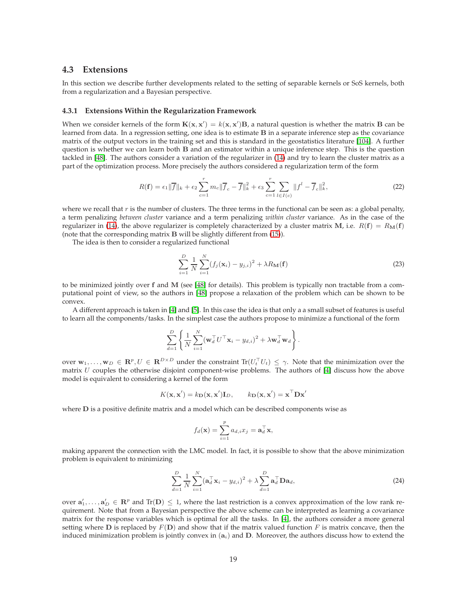## <span id="page-18-0"></span>**4.3 Extensions**

In this section we describe further developments related to the setting of separable kernels or SoS kernels, both from a regularization and a Bayesian perspective.

#### <span id="page-18-1"></span>**4.3.1 Extensions Within the Regularization Framework**

When we consider kernels of the form  $K(x, x') = k(x, x')B$ , a natural question is whether the matrix B can be learned from data. In a regression setting, one idea is to estimate  $B$  in a separate inference step as the covariance matrix of the output vectors in the training set and this is standard in the geostatistics literature [\[104\]](#page-36-5). A further question is whether we can learn both  $B$  and an estimator within a unique inference step. This is the question tackled in [\[48\]](#page-34-10). The authors consider a variation of the regularizer in [\(14\)](#page-10-0) and try to learn the cluster matrix as a part of the optimization process. More precisely the authors considered a regularization term of the form

$$
R(\mathbf{f}) = \epsilon_1 ||\overline{f}||_k + \epsilon_2 \sum_{c=1}^r m_c ||\overline{f}_c - \overline{f}||_k^2 + \epsilon_3 \sum_{c=1}^r \sum_{l \in I(c)} ||f^l - \overline{f}_c||_k^2,
$$
 (22)

where we recall that  $r$  is the number of clusters. The three terms in the functional can be seen as: a global penalty, a term penalizing *between cluster* variance and a term penalizing *within cluster* variance. As in the case of the regularizer in [\(14\)](#page-10-0), the above regularizer is completely characterized by a cluster matrix M, i.e.  $R(f) = R_M(f)$ (note that the corresponding matrix B will be slightly different from [\(15\)](#page-10-1)).

The idea is then to consider a regularized functional

$$
\sum_{i=1}^{D} \frac{1}{N} \sum_{i=1}^{N} (f_j(\mathbf{x}_i) - y_{j,i})^2 + \lambda R_{\mathbf{M}}(\mathbf{f})
$$
\n(23)

to be minimized jointly over f and M (see [\[48\]](#page-34-10) for details). This problem is typically non tractable from a computational point of view, so the authors in [\[48\]](#page-34-10) propose a relaxation of the problem which can be shown to be convex.

A different approach is taken in [\[4\]](#page-32-9) and [\[5\]](#page-32-10). In this case the idea is that only a a small subset of features is useful to learn all the components/tasks. In the simplest case the authors propose to minimize a functional of the form

$$
\sum_{d=1}^D \left\{ \frac{1}{N} \sum_{i=1}^N (\mathbf{w}_d^\top U^\top \mathbf{x}_i - y_{d,i})^2 + \lambda \mathbf{w}_d^\top \mathbf{w}_d \right\}.
$$

over  $w_1,\ldots,w_D\,\in\,\mathbf{R}^p,U\,\in\,\mathbf{R}^{D\times D}$  under the constraint  $\text{Tr}(U_t^\top U_t)\,\leq\,\gamma.$  Note that the minimization over the matrix  $U$  couples the otherwise disjoint component-wise problems. The authors of [\[4\]](#page-32-9) discuss how the above model is equivalent to considering a kernel of the form

$$
K(\mathbf{x}, \mathbf{x}') = k_{\mathbf{D}}(\mathbf{x}, \mathbf{x}') \mathbf{I}_{D}, \qquad k_{\mathbf{D}}(\mathbf{x}, \mathbf{x}') = \mathbf{x}^{\top} \mathbf{D} \mathbf{x}'
$$

where  $D$  is a positive definite matrix and a model which can be described components wise as

$$
f_d(\mathbf{x}) = \sum_{i=1}^p a_{d,i} x_j = \mathbf{a}_d^{\top} \mathbf{x},
$$

making apparent the connection with the LMC model. In fact, it is possible to show that the above minimization problem is equivalent to minimizing

$$
\sum_{d=1}^{D} \frac{1}{N} \sum_{i=1}^{N} (\mathbf{a}_d^{\top} \mathbf{x}_i - y_{d,i})^2 + \lambda \sum_{d=1}^{D} \mathbf{a}_d^{\top} \mathbf{D} \mathbf{a}_d,
$$
\n(24)

over  $a'_1,\ldots,a'_D\in\mathbf{R}^p$  and  $\text{Tr}(\mathbf{D})\leq 1$ , where the last restriction is a convex approximation of the low rank requirement. Note that from a Bayesian perspective the above scheme can be interpreted as learning a covariance matrix for the response variables which is optimal for all the tasks. In [\[4\]](#page-32-9), the authors consider a more general setting where **D** is replaced by  $F(D)$  and show that if the matrix valued function F is matrix concave, then the induced minimization problem is jointly convex in  $(a_i)$  and D. Moreover, the authors discuss how to extend the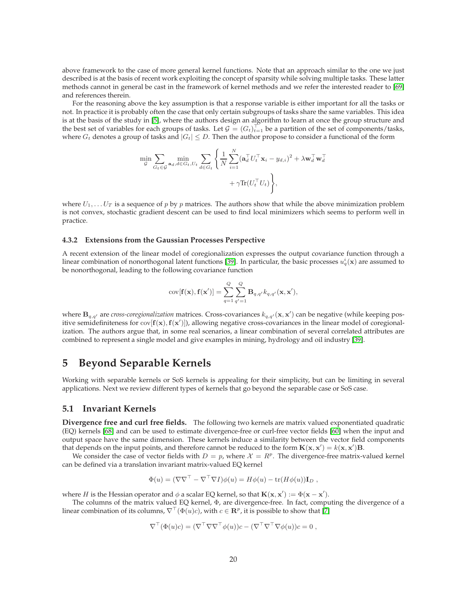above framework to the case of more general kernel functions. Note that an approach similar to the one we just described is at the basis of recent work exploiting the concept of sparsity while solving multiple tasks. These latter methods cannot in general be cast in the framework of kernel methods and we refer the interested reader to [\[69\]](#page-34-11) and references therein.

For the reasoning above the key assumption is that a response variable is either important for all the tasks or not. In practice it is probably often the case that only certain subgroups of tasks share the same variables. This idea is at the basis of the study in [\[5\]](#page-32-10), where the authors design an algorithm to learn at once the group structure and the best set of variables for each groups of tasks. Let  $\mathcal{G} = (G_t)_{t=1}^{\top}$  be a partition of the set of components/tasks, where  $G_t$  denotes a group of tasks and  $|G_t| \leq D$ . Then the author propose to consider a functional of the form

$$
\min_{\mathcal{G}} \sum_{G_t \in \mathcal{G}} \min_{\mathbf{a}_d, d \in G_t, U_t} \sum_{d \in G_t} \left\{ \frac{1}{N} \sum_{i=1}^N (\mathbf{a}_d^\top U_t^\top \mathbf{x}_i - y_{d,i})^2 + \lambda \mathbf{w}_d^\top \mathbf{w}_d^\top + \gamma \text{Tr}(U_t^\top U_t) \right\},
$$

where  $U_1, \ldots U_T$  is a sequence of p by p matrices. The authors show that while the above minimization problem is not convex, stochastic gradient descent can be used to find local minimizers which seems to perform well in practice.

#### <span id="page-19-0"></span>**4.3.2 Extensions from the Gaussian Processes Perspective**

A recent extension of the linear model of coregionalization expresses the output covariance function through a linear combination of nonorthogonal latent functions [\[39\]](#page-33-11). In particular, the basic processes  $u_q^i(\bf{x})$  are assumed to be nonorthogonal, leading to the following covariance function

$$
cov[\mathbf{f}(\mathbf{x}), \mathbf{f}(\mathbf{x}')] = \sum_{q=1}^{Q} \sum_{q'=1}^{Q} \mathbf{B}_{q,q'} k_{q,q'}(\mathbf{x}, \mathbf{x}'),
$$

where  $B_{q,q'}$  are *cross-coregionalization* matrices. Cross-covariances  $k_{q,q'}(x,x')$  can be negative (while keeping positive semidefiniteness for  $cov[f(x), f(x')]$ , allowing negative cross-covariances in the linear model of coregionalization. The authors argue that, in some real scenarios, a linear combination of several correlated attributes are combined to represent a single model and give examples in mining, hydrology and oil industry [\[39\]](#page-33-11).

## <span id="page-19-1"></span>**5 Beyond Separable Kernels**

Working with separable kernels or SoS kernels is appealing for their simplicity, but can be limiting in several applications. Next we review different types of kernels that go beyond the separable case or SoS case.

### <span id="page-19-2"></span>**5.1 Invariant Kernels**

**Divergence free and curl free fields.** The following two kernels are matrix valued exponentiated quadratic (EQ) kernels [\[68\]](#page-34-12) and can be used to estimate divergence-free or curl-free vector fields [\[60\]](#page-34-13) when the input and output space have the same dimension. These kernels induce a similarity between the vector field components that depends on the input points, and therefore cannot be reduced to the form  $K(\mathbf{x}, \mathbf{x}') = k(\mathbf{x}, \mathbf{x}')\mathbf{B}$ .

We consider the case of vector fields with  $D = p$ , where  $\mathcal{X} = R^p$ . The divergence-free matrix-valued kernel can be defined via a translation invariant matrix-valued EQ kernel

$$
\Phi(u) = (\nabla \nabla^{\top} - \nabla^{\top} \nabla I)\phi(u) = H\phi(u) - \text{tr}(H\phi(u))\mathbf{I}_D,
$$

where H is the Hessian operator and  $\phi$  a scalar EQ kernel, so that  $K(x, x') := \Phi(x - x')$ .

The columns of the matrix valued EQ kernel, Φ, are divergence-free. In fact, computing the divergence of a linear combination of its columns,  $\nabla^{\top}(\Phi(u)c)$ , with  $c \in \mathbb{R}^p$ , it is possible to show that [\[7\]](#page-32-6)

$$
\nabla^{\top}(\Phi(u)c) = (\nabla^{\top}\nabla\nabla^{\top}\phi(u))c - (\nabla^{\top}\nabla^{\top}\nabla\phi(u))c = 0,
$$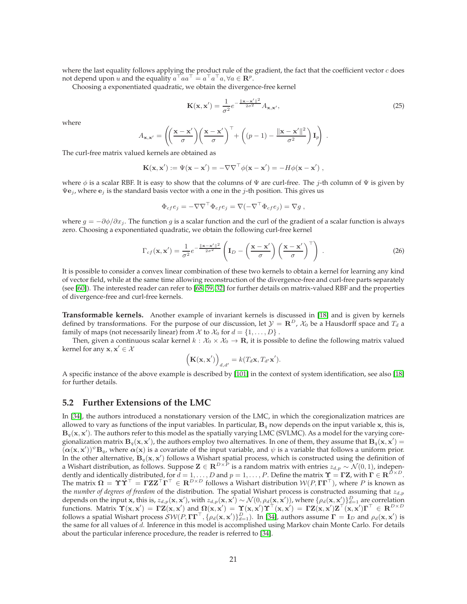where the last equality follows applying the product rule of the gradient, the fact that the coefficient vector  $c$  does not depend upon  $u$  and the equality  $a^\top a a^\top = a^\top a^\top a$ ,  $\forall a \in \mathbb{R}^p$ .

Choosing a exponentiated quadratic, we obtain the divergence-free kernel

$$
\mathbf{K}(\mathbf{x}, \mathbf{x}') = \frac{1}{\sigma^2} e^{-\frac{\|\mathbf{x} - \mathbf{x}'\|^2}{2\sigma^2}} A_{\mathbf{x}, \mathbf{x}'},
$$
(25)

where

$$
A_{\mathbf{x},\mathbf{x}'} = \left( \left( \frac{\mathbf{x} - \mathbf{x}'}{\sigma} \right) \left( \frac{\mathbf{x} - \mathbf{x}'}{\sigma} \right)^\top + \left( (p - 1) - \frac{\|\mathbf{x} - \mathbf{x}'\|^2}{\sigma^2} \right) \mathbf{I}_p \right).
$$

The curl-free matrix valued kernels are obtained as

$$
\mathbf{K}(\mathbf{x}, \mathbf{x}') := \Psi(\mathbf{x} - \mathbf{x}') = -\nabla\nabla^{\top}\phi(\mathbf{x} - \mathbf{x}') = -H\phi(\mathbf{x} - \mathbf{x}'),
$$

where  $\phi$  is a scalar RBF. It is easy to show that the columns of  $\Psi$  are curl-free. The j-th column of  $\Psi$  is given by  $\Psi$ e<sub>j</sub>, where e<sub>j</sub> is the standard basis vector with a one in the *j*-th position. This gives us

$$
\Phi_{cf}e_j = -\nabla\nabla^\top \Phi_{cf}e_j = \nabla(-\nabla^\top \Phi_{cf}e_j) = \nabla g,
$$

where  $g = -\partial \phi / \partial x_j$ . The function g is a scalar function and the curl of the gradient of a scalar function is always zero. Choosing a exponentiated quadratic, we obtain the following curl-free kernel

$$
\Gamma_{cf}(\mathbf{x}, \mathbf{x}') = \frac{1}{\sigma^2} e^{-\frac{\|\mathbf{x} - \mathbf{x}'\|^2}{2\sigma^2}} \left( \mathbf{I}_D - \left( \frac{\mathbf{x} - \mathbf{x}'}{\sigma} \right) \left( \frac{\mathbf{x} - \mathbf{x}'}{\sigma} \right)^\top \right) . \tag{26}
$$

It is possible to consider a convex linear combination of these two kernels to obtain a kernel for learning any kind of vector field, while at the same time allowing reconstruction of the divergence-free and curl-free parts separately (see [\[60\]](#page-34-13)). The interested reader can refer to [\[68,](#page-34-12) [59,](#page-34-14) [32\]](#page-33-12) for further details on matrix-valued RBF and the properties of divergence-free and curl-free kernels.

**Transformable kernels.** Another example of invariant kernels is discussed in [\[18\]](#page-32-11) and is given by kernels defined by transformations. For the purpose of our discussion, let  $\mathcal{Y} = \mathbb{R}^D$ ,  $\mathcal{X}_0$  be a Hausdorff space and  $T_d$  a family of maps (not necessarily linear) from X to  $X_0$  for  $d = \{1, ..., D\}$ .

Then, given a continuous scalar kernel  $k : \mathcal{X}_0 \times \mathcal{X}_0 \to \mathbb{R}$ , it is possible to define the following matrix valued kernel for any  $\mathbf{x}, \mathbf{x}' \in \mathcal{X}$ 

$$
\left(\mathbf{K}(\mathbf{x},\mathbf{x}')\right)_{d,d'}=k(T_d\mathbf{x},T_{d'}\mathbf{x}').
$$

A specific instance of the above example is described by [\[101\]](#page-36-12) in the context of system identification, see also [\[18\]](#page-32-11) for further details.

### <span id="page-20-0"></span>**5.2 Further Extensions of the LMC**

In [\[34\]](#page-33-13), the authors introduced a nonstationary version of the LMC, in which the coregionalization matrices are allowed to vary as functions of the input variables. In particular,  $B_q$  now depends on the input variable x, this is,  $B_q(x, x')$ . The authors refer to this model as the spatially varying LMC (SVLMC). As a model for the varying coregionalization matrix  $B_q(x, x')$ , the authors employ two alternatives. In one of them, they assume that  $B_q(x, x') =$  $(\alpha(x,x'))^{\psi}B_{q}$ , where  $\alpha(x)$  is a covariate of the input variable, and  $\psi$  is a variable that follows a uniform prior. In the other alternative,  $B_q(x, x')$  follows a Wishart spatial process, which is constructed using the definition of a Wishart distribution, as follows. Suppose  $\mathbf{Z}\in\mathbf{R}^{D\times P}$  is a random matrix with entries  $z_{d,p}\sim\mathcal{N}(0,1)$ , independently and identically distributed, for  $d=1,\ldots,D$  and  $p=1,\ldots,P.$  Define the matrix  $\Upsilon=\Gamma\Z$ , with  $\Gamma\in\mathbf{R}^{\bar{D}\times D}.$ The matrix  $\bm{\Omega}=\bm{\Upsilon}\bm{\Upsilon}^\top=\bm{\Gamma}\bm{Z}\bm{Z}^\top\bm{\Gamma}^\top\in\mathbf{R}^{D\times D}$  follows a Wishart distribution  $\mathcal{W}(P,\bm{\Gamma}\bm{\Gamma}^\top)$ , where  $P$  is known as the *number of degrees of freedom* of the distribution. The spatial Wishart process is constructed assuming that  $z_{d,p}$ depends on the input x, this is,  $z_{d,p}(\mathbf{x}, \mathbf{x}')$ , with  $z_{d,p}(\mathbf{x}, \mathbf{x}') \sim \mathcal{N}(0, \rho_d(\mathbf{x}, \mathbf{x}'))$ , where  $\{\rho_d(\mathbf{x}, \mathbf{x}')\}_{d=1}^D$  are correlation functions. Matrix  $\Upsilon(\mathbf{x},\mathbf{x}') = \Gamma \mathbf{Z}(\mathbf{x},\mathbf{x}')$  and  $\Omega(\mathbf{x},\mathbf{x}') = \Upsilon(\mathbf{x},\mathbf{x}')\Upsilon^\top(\mathbf{x},\mathbf{x}') = \Gamma \mathbf{Z}(\mathbf{x},\mathbf{x}')\mathbf{Z}^\top(\mathbf{x},\mathbf{x}')\Gamma^\top \in \mathbf{R}^{D\times D}$ follows a spatial Wishart process  $\mathcal{SW}(P,\Gamma\Gamma^\top,\{\rho_d(\mathbf{x},\mathbf{x}')\}_{d=1}^D)$ . In [\[34\]](#page-33-13), authors assume  $\Gamma=\mathbf{I}_D$  and  $\rho_d(\mathbf{x},\mathbf{x}')$  is the same for all values of d. Inference in this model is accomplished using Markov chain Monte Carlo. For details about the particular inference procedure, the reader is referred to [\[34\]](#page-33-13).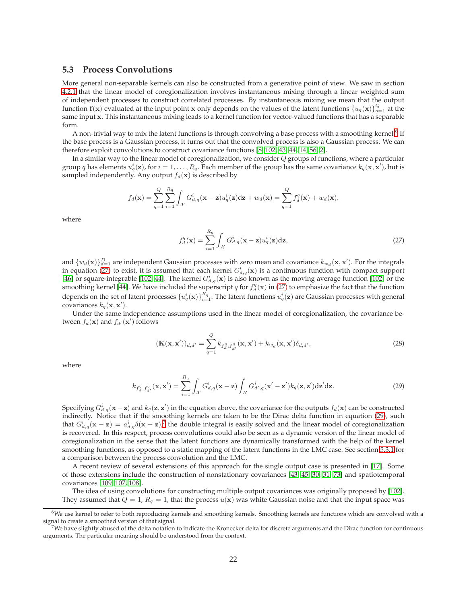### <span id="page-21-0"></span>**5.3 Process Convolutions**

More general non-separable kernels can also be constructed from a generative point of view. We saw in section [4.2.1](#page-11-1) that the linear model of coregionalization involves instantaneous mixing through a linear weighted sum of independent processes to construct correlated processes. By instantaneous mixing we mean that the output function  $f(x)$  evaluated at the input point x only depends on the values of the latent functions  $\{u_q(x)\}_{q=1}^Q$  at the same input x. This instantaneous mixing leads to a kernel function for vector-valued functions that has a separable form.

A non-trivial way to mix the latent functions is through convolving a base process with a smoothing kernel.<sup>[6](#page-21-1)</sup> If the base process is a Gaussian process, it turns out that the convolved process is also a Gaussian process. We can therefore exploit convolutions to construct covariance functions [\[8,](#page-32-12) [102,](#page-36-7) [43,](#page-33-14) [44,](#page-33-15) [14,](#page-32-13) [56,](#page-34-15) [2\]](#page-32-14).

In a similar way to the linear model of coregionalization, we consider  $Q$  groups of functions, where a particular group  $q$  has elements  $u^i_q({\bf z})$ , for  $i=1,\ldots,R_q.$  Each member of the group has the same covariance  $k_q({\bf x},{\bf x}')$ , but is sampled independently. Any output  $f_d(\mathbf{x})$  is described by

$$
f_d(\mathbf{x}) = \sum_{q=1}^Q \sum_{i=1}^{R_q} \int_{\mathcal{X}} G_{d,q}^i(\mathbf{x}-\mathbf{z}) u_q^i(\mathbf{z}) d\mathbf{z} + w_d(\mathbf{x}) = \sum_{q=1}^Q f_d^q(\mathbf{x}) + w_d(\mathbf{x}),
$$

where

<span id="page-21-2"></span>
$$
f_d^q(\mathbf{x}) = \sum_{i=1}^{R_q} \int_{\mathcal{X}} G_{d,q}^i(\mathbf{x} - \mathbf{z}) u_q^i(\mathbf{z}) d\mathbf{z},\tag{27}
$$

and  $\{w_d(\mathbf{x})\}_{d=1}^D$  are independent Gaussian processes with zero mean and covariance  $k_{w_d}(\mathbf{x},\mathbf{x}')$ . For the integrals in equation [\(27\)](#page-21-2) to exist, it is assumed that each kernel  $G_{d,q}^i(\mathbf{x})$  is a continuous function with compact support [\[46\]](#page-33-16) or square-integrable [\[102,](#page-36-7) [44\]](#page-33-15). The kernel  $G_{d,q}^i(\mathbf{x})$  is also known as the moving average function [\[102\]](#page-36-7) or the smoothing kernel [\[44\]](#page-33-15). We have included the superscript q for  $f_d^q(\mathbf{x})$  in [\(27\)](#page-21-2) to emphasize the fact that the function depends on the set of latent processes  $\{u^i_q(\mathbf{x})\}_{i=1}^{R_q}$ . The latent functions  $u^i_q(\mathbf{z})$  are Gaussian processes with general covariances  $k_q(\mathbf{x}, \mathbf{x}')$ .

Under the same independence assumptions used in the linear model of coregionalization, the covariance between  $f_d(\mathbf{x})$  and  $f_{d'}(\mathbf{x}')$  follows

<span id="page-21-5"></span><span id="page-21-3"></span>
$$
(\mathbf{K}(\mathbf{x}, \mathbf{x}'))_{d,d'} = \sum_{q=1}^{Q} k_{f_d^q, f_{d'}^q}(\mathbf{x}, \mathbf{x}') + k_{w_d}(\mathbf{x}, \mathbf{x}') \delta_{d,d'},
$$
\n(28)

where

$$
k_{f_d^q, f_{d'}^q}(\mathbf{x}, \mathbf{x}') = \sum_{i=1}^{R_q} \int_{\mathcal{X}} G_{d,q}^i(\mathbf{x} - \mathbf{z}) \int_{\mathcal{X}} G_{d',q}^i(\mathbf{x}' - \mathbf{z}') k_q(\mathbf{z}, \mathbf{z}') d\mathbf{z}' d\mathbf{z}.
$$
 (29)

Specifying  $G^i_{d,q}({\bf x}-{\bf z})$  and  $k_q({\bf z},{\bf z}')$  in the equation above, the covariance for the outputs  $f_d({\bf x})$  can be constructed indirectly. Notice that if the smoothing kernels are taken to be the Dirac delta function in equation [\(29\)](#page-21-3), such that  $G_{d,q}^i(\mathbf{x}-\mathbf{z})=a_{d,q}^i\delta(\mathbf{x}-\mathbf{z})$ , the double integral is easily solved and the linear model of coregionalization is recovered. In this respect, process convolutions could also be seen as a dynamic version of the linear model of coregionalization in the sense that the latent functions are dynamically transformed with the help of the kernel smoothing functions, as opposed to a static mapping of the latent functions in the LMC case. See section [5.3.1](#page-22-0) for a comparison between the process convolution and the LMC.

A recent review of several extensions of this approach for the single output case is presented in [\[17\]](#page-32-15). Some of those extensions include the construction of nonstationary covariances [\[43,](#page-33-14) [45,](#page-33-17) [30,](#page-33-18) [31,](#page-33-19) [73\]](#page-35-14) and spatiotemporal covariances [\[109,](#page-36-13) [107,](#page-36-14) [108\]](#page-36-15).

The idea of using convolutions for constructing multiple output covariances was originally proposed by [\[102\]](#page-36-7). They assumed that  $Q = 1$ ,  $R_q = 1$ , that the process  $u(\mathbf{x})$  was white Gaussian noise and that the input space was

<span id="page-21-1"></span> $6W$ e use kernel to refer to both reproducing kernels and smoothing kernels. Smoothing kernels are functions which are convolved with a signal to create a smoothed version of that signal.

<span id="page-21-4"></span> $^{7}$ We have slightly abused of the delta notation to indicate the Kronecker delta for discrete arguments and the Dirac function for continuous arguments. The particular meaning should be understood from the context.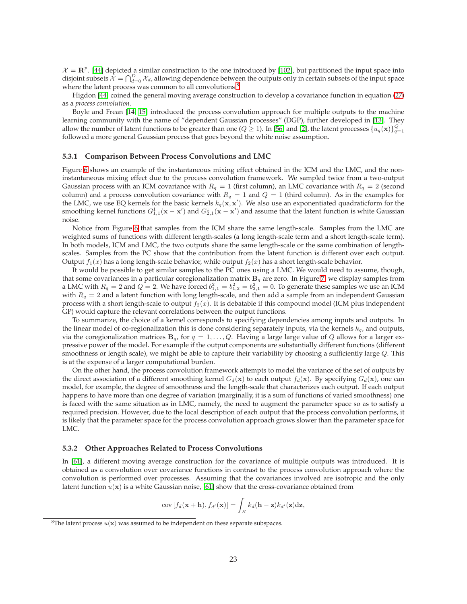$X = \mathbb{R}^p$ . [\[44\]](#page-33-15) depicted a similar construction to the one introduced by [\[102\]](#page-36-7), but partitioned the input space into disjoint subsets  $\hat{\mathcal{X}} = \bigcap_{d=0}^D \mathcal{X}_d$ , allowing dependence between the outputs only in certain subsets of the input space where the latent process was common to all convolutions.<sup>[8](#page-22-2)</sup>

Higdon [\[44\]](#page-33-15) coined the general moving average construction to develop a covariance function in equation [\(27\)](#page-21-2) as a *process convolution*.

Boyle and Frean [\[14,](#page-32-13) [15\]](#page-32-16) introduced the process convolution approach for multiple outputs to the machine learning community with the name of "dependent Gaussian processes" (DGP), further developed in [\[13\]](#page-32-17). They allow the number of latent functions to be greater than one ( $Q \geq 1$ ). In [\[56\]](#page-34-15) and [\[2\]](#page-32-14), the latent processes  $\{u_q(\mathbf{x})\}_{q=1}^Q$ followed a more general Gaussian process that goes beyond the white noise assumption.

#### <span id="page-22-0"></span>**5.3.1 Comparison Between Process Convolutions and LMC**

Figure [6](#page-23-0) shows an example of the instantaneous mixing effect obtained in the ICM and the LMC, and the noninstantaneous mixing effect due to the process convolution framework. We sampled twice from a two-output Gaussian process with an ICM covariance with  $R_q = 1$  (first column), an LMC covariance with  $R_q = 2$  (second column) and a process convolution covariance with  $R_q = 1$  and  $Q = 1$  (third column). As in the examples for the LMC, we use EQ kernels for the basic kernels  $k_q(\mathbf{x}, \mathbf{x}')$ . We also use an exponentiated quadraticform for the smoothing kernel functions  $G_{1,1}^1({\bf x}-{\bf x}')$  and  $G_{2,1}^1({\bf x}-{\bf x}')$  and assume that the latent function is white Gaussian noise.

Notice from Figure [6](#page-23-0) that samples from the ICM share the same length-scale. Samples from the LMC are weighted sums of functions with different length-scales (a long length-scale term and a short length-scale term). In both models, ICM and LMC, the two outputs share the same length-scale or the same combination of lengthscales. Samples from the PC show that the contribution from the latent function is different over each output. Output  $f_1(x)$  has a long length-scale behavior, while output  $f_2(x)$  has a short length-scale behavior.

It would be possible to get similar samples to the PC ones using a LMC. We would need to assume, though, that some covariances in a particular coregionalization matrix  $B_q$  are zero. In Figure [7,](#page-24-0) we display samples from a LMC with  $R_q=2$  and  $Q=2$ . We have forced  $b_{1,1}^2=b_{1,2}^2=b_{2,1}^2=0$ . To generate these samples we use an ICM with  $R_q = 2$  and a latent function with long length-scale, and then add a sample from an independent Gaussian process with a short length-scale to output  $f_2(x)$ . It is debatable if this compound model (ICM plus independent GP) would capture the relevant correlations between the output functions.

To summarize, the choice of a kernel corresponds to specifying dependencies among inputs and outputs. In the linear model of co-regionalization this is done considering separately inputs, via the kernels  $k_q$ , and outputs, via the coregionalization matrices  $B_q$ , for  $q = 1, \ldots, Q$ . Having a large large value of Q allows for a larger expressive power of the model. For example if the output components are substantially different functions (different smoothness or length scale), we might be able to capture their variability by choosing a sufficiently large Q. This is at the expense of a larger computational burden.

On the other hand, the process convolution framework attempts to model the variance of the set of outputs by the direct association of a different smoothing kernel  $G_d(\mathbf{x})$  to each output  $f_d(\mathbf{x})$ . By specifying  $G_d(\mathbf{x})$ , one can model, for example, the degree of smoothness and the length-scale that characterizes each output. If each output happens to have more than one degree of variation (marginally, it is a sum of functions of varied smoothness) one is faced with the same situation as in LMC, namely, the need to augment the parameter space so as to satisfy a required precision. However, due to the local description of each output that the process convolution performs, it is likely that the parameter space for the process convolution approach grows slower than the parameter space for LMC.

#### <span id="page-22-1"></span>**5.3.2 Other Approaches Related to Process Convolutions**

In [\[61\]](#page-34-16), a different moving average construction for the covariance of multiple outputs was introduced. It is obtained as a convolution over covariance functions in contrast to the process convolution approach where the convolution is performed over processes. Assuming that the covariances involved are isotropic and the only latent function  $u(\mathbf{x})$  is a white Gaussian noise, [\[61\]](#page-34-16) show that the cross-covariance obtained from

$$
\text{cov}[f_d(\mathbf{x}+\mathbf{h}), f_{d'}(\mathbf{x})] = \int_{\mathcal{X}} k_d(\mathbf{h}-\mathbf{z})k_{d'}(\mathbf{z})d\mathbf{z},
$$

<span id="page-22-2"></span><sup>&</sup>lt;sup>8</sup>The latent process  $u(\mathbf{x})$  was assumed to be independent on these separate subspaces.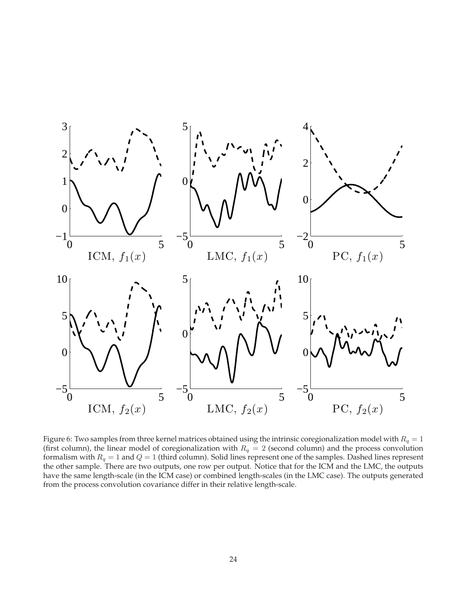<span id="page-23-0"></span>

Figure 6: Two samples from three kernel matrices obtained using the intrinsic coregionalization model with  $R_q = 1$ (first column), the linear model of coregionalization with  $R_q = 2$  (second column) and the process convolution formalism with  $R_q = 1$  and  $Q = 1$  (third column). Solid lines represent one of the samples. Dashed lines represent the other sample. There are two outputs, one row per output. Notice that for the ICM and the LMC, the outputs have the same length-scale (in the ICM case) or combined length-scales (in the LMC case). The outputs generated from the process convolution covariance differ in their relative length-scale.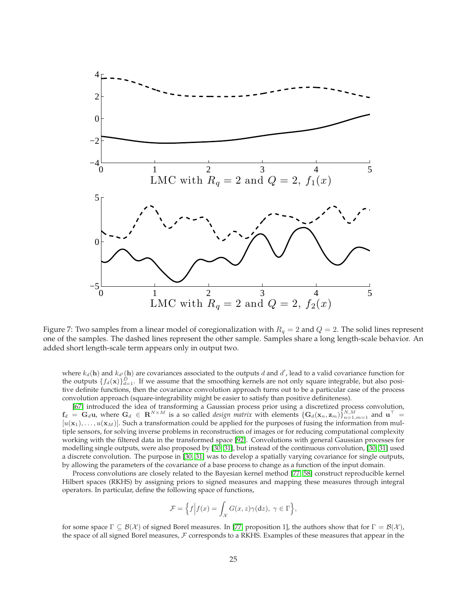<span id="page-24-0"></span>

Figure 7: Two samples from a linear model of coregionalization with  $R_q = 2$  and  $Q = 2$ . The solid lines represent one of the samples. The dashed lines represent the other sample. Samples share a long length-scale behavior. An added short length-scale term appears only in output two.

where  $k_d(h)$  and  $k_{d'}(h)$  are covariances associated to the outputs  $d$  and  $d'$ , lead to a valid covariance function for the outputs  $\{f_d(\mathbf{x})\}_{d=1}^D$ . If we assume that the smoothing kernels are not only square integrable, but also positive definite functions, then the covariance convolution approach turns out to be a particular case of the process convolution approach (square-integrability might be easier to satisfy than positive definiteness).

[\[67\]](#page-34-17) introduced the idea of transforming a Gaussian process prior using a discretized process convolution,  $\mathbf{f}_d = \mathbf{G}_d \mathbf{u}$ , where  $\mathbf{G}_d \in \mathbf{R}^{N \times M}$  is a so called *design matrix* with elements  $\{\mathbf{G}_d(\mathbf{x}_n, \mathbf{z}_m)\}_{n=1,m=1}^{N,M}$  and  $\mathbf{u}^{\top} =$  $[u(\mathbf{x}_1),\ldots,u(\mathbf{x}_M)]$ . Such a transformation could be applied for the purposes of fusing the information from multiple sensors, for solving inverse problems in reconstruction of images or for reducing computational complexity working with the filtered data in the transformed space [\[92\]](#page-35-15). Convolutions with general Gaussian processes for modelling single outputs, were also proposed by [\[30,](#page-33-18) [31\]](#page-33-19), but instead of the continuous convolution, [\[30,](#page-33-18) [31\]](#page-33-19) used a discrete convolution. The purpose in [\[30,](#page-33-18) [31\]](#page-33-19) was to develop a spatially varying covariance for single outputs, by allowing the parameters of the covariance of a base process to change as a function of the input domain.

Process convolutions are closely related to the Bayesian kernel method [\[77,](#page-35-16) [58\]](#page-34-18) construct reproducible kernel Hilbert spaces (RKHS) by assigning priors to signed measures and mapping these measures through integral operators. In particular, define the following space of functions,

$$
\mathcal{F} = \Big\{ f \Big| f(x) = \int_{\mathcal{X}} G(x, z) \gamma(\mathrm{d}z), \ \gamma \in \Gamma \Big\},\
$$

for some space  $\Gamma \subseteq \mathcal{B}(\mathcal{X})$  of signed Borel measures. In [\[77,](#page-35-16) proposition 1], the authors show that for  $\Gamma = \mathcal{B}(\mathcal{X})$ , the space of all signed Borel measures,  $F$  corresponds to a RKHS. Examples of these measures that appear in the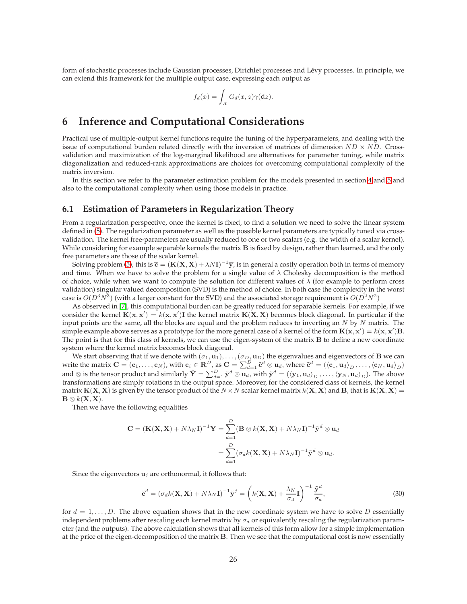form of stochastic processes include Gaussian processes, Dirichlet processes and Lévy processes. In principle, we can extend this framework for the multiple output case, expressing each output as

$$
f_d(x) = \int_{\mathcal{X}} G_d(x, z) \gamma(\mathrm{d}z).
$$

## <span id="page-25-0"></span>**6 Inference and Computational Considerations**

Practical use of multiple-output kernel functions require the tuning of the hyperparameters, and dealing with the issue of computational burden related directly with the inversion of matrices of dimension  $ND \times ND$ . Crossvalidation and maximization of the log-marginal likelihood are alternatives for parameter tuning, while matrix diagonalization and reduced-rank approximations are choices for overcoming computational complexity of the matrix inversion.

In this section we refer to the parameter estimation problem for the models presented in section [4](#page-9-0) and [5](#page-19-1) and also to the computational complexity when using those models in practice.

### <span id="page-25-1"></span>**6.1 Estimation of Parameters in Regularization Theory**

From a regularization perspective, once the kernel is fixed, to find a solution we need to solve the linear system defined in [\(5\)](#page-7-3). The regularization parameter as well as the possible kernel parameters are typically tuned via crossvalidation. The kernel free-parameters are usually reduced to one or two scalars (e.g. the width of a scalar kernel). While considering for example separable kernels the matrix **B** is fixed by design, rather than learned, and the only free parameters are those of the scalar kernel.

Solving problem [\(5\)](#page-7-3), this is  $\bf{\overline{c}}=(K(X,X)+\lambda NI)^{-1}\bf{\overline{y}}$ , is in general a costly operation both in terms of memory and time. When we have to solve the problem for a single value of  $\lambda$  Cholesky decomposition is the method of choice, while when we want to compute the solution for different values of  $\lambda$  (for example to perform cross validation) singular valued decomposition (SVD) is the method of choice. In both case the complexity in the worst case is  $O(D^3 N^3)$  (with a larger constant for the SVD) and the associated storage requirement is  $O(D^2 N^2)$ 

As observed in [\[7\]](#page-32-6), this computational burden can be greatly reduced for separable kernels. For example, if we consider the kernel  $K(x, x') = k(x, x')I$  the kernel matrix  $K(X, X)$  becomes block diagonal. In particular if the input points are the same, all the blocks are equal and the problem reduces to inverting an  $N$  by  $N$  matrix. The simple example above serves as a prototype for the more general case of a kernel of the form  $K(x, x') = k(x, x')B$ . The point is that for this class of kernels, we can use the eigen-system of the matrix B to define a new coordinate system where the kernel matrix becomes block diagonal.

We start observing that if we denote with  $(\sigma_1, {\bf u}_1), \ldots,(\sigma_D, {\bf u}_D)$  the eigenvalues and eigenvectors of  ${\bf B}$  we can write the matrix  $\mathbf{C} = (\mathbf{c}_1, \dots, \mathbf{c}_N)$ , with  $\mathbf{c}_i \in \mathbf{R}^D$ , as  $\mathbf{C} = \sum_{d=1}^D \tilde{\mathbf{c}}^d \otimes \mathbf{u}_d$ , where  $\tilde{\mathbf{c}}^d = (\langle \mathbf{c}_1, \mathbf{u}_d \rangle_D, \dots, \langle \mathbf{c}_N, \mathbf{u}_d \rangle_D)$ and ⊗ is the tensor product and similarly  $\tilde{\mathbf{Y}} = \sum_{d=1}^D \tilde{\mathbf{y}}^d \otimes \mathbf{u}_d$ , with  $\tilde{\mathbf{y}}^d = (\langle \mathbf{y}_1, \mathbf{u}_d \rangle_D, \dots, \langle \mathbf{y}_N, \mathbf{u}_d \rangle_D).$  The above transformations are simply rotations in the output space. Moreover, for the considered class of kernels, the kernel matrix  $K(X, X)$  is given by the tensor product of the  $N \times N$  scalar kernel matrix  $k(X, X)$  and B, that is  $K(X, X)$  $\mathbf{B} \otimes k(\mathbf{X}, \mathbf{X}).$ 

Then we have the following equalities

$$
\mathbf{C} = (\mathbf{K}(\mathbf{X}, \mathbf{X}) + N\lambda_N \mathbf{I})^{-1} \mathbf{Y} = \sum_{d=1}^{D} (\mathbf{B} \otimes k(\mathbf{X}, \mathbf{X}) + N\lambda_N \mathbf{I})^{-1} \tilde{\mathbf{y}}^d \otimes \mathbf{u}_d
$$

$$
= \sum_{d=1}^{D} (\sigma_d k(\mathbf{X}, \mathbf{X}) + N\lambda_N \mathbf{I})^{-1} \tilde{\mathbf{y}}^d \otimes \mathbf{u}_d.
$$

Since the eigenvectors  $\mathbf{u}_j$  are orthonormal, it follows that:

$$
\tilde{\mathbf{c}}^d = (\sigma_d k(\mathbf{X}, \mathbf{X}) + N\lambda_N \mathbf{I})^{-1} \tilde{\mathbf{y}}^j = \left( k(\mathbf{X}, \mathbf{X}) + \frac{\lambda_N}{\sigma_d} \mathbf{I} \right)^{-1} \frac{\tilde{\mathbf{y}}^d}{\sigma_d},\tag{30}
$$

for  $d = 1, \ldots, D$ . The above equation shows that in the new coordinate system we have to solve D essentially independent problems after rescaling each kernel matrix by  $\sigma_d$  or equivalently rescaling the regularization parameter (and the outputs). The above calculation shows that all kernels of this form allow for a simple implementation at the price of the eigen-decomposition of the matrix B. Then we see that the computational cost is now essentially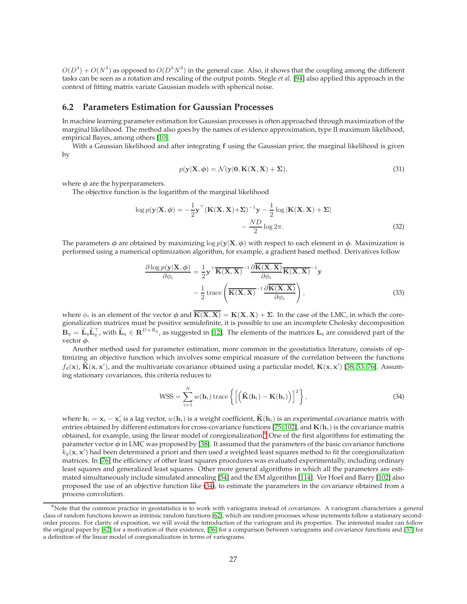$O(D^3) + O(N^3)$  as opposed to  $O(D^3N^3)$  in the general case. Also, it shows that the coupling among the different tasks can be seen as a rotation and rescaling of the output points. Stegle *et al.* [\[94\]](#page-36-16) also applied this approach in the context of fitting matrix variate Gaussian models with spherical noise.

### <span id="page-26-0"></span>**6.2 Parameters Estimation for Gaussian Processes**

In machine learning parameter estimation for Gaussian processes is often approached through maximization of the marginal likelihood. The method also goes by the names of evidence approximation, type II maximum likelihood, empirical Bayes, among others [\[10\]](#page-32-2).

With a Gaussian likelihood and after integrating f using the Gaussian prior, the marginal likelihood is given by

$$
p(\mathbf{y}|\mathbf{X}, \boldsymbol{\phi}) = \mathcal{N}(\mathbf{y}|\mathbf{0}, \mathbf{K}(\mathbf{X}, \mathbf{X}) + \boldsymbol{\Sigma}),
$$
\n(31)

where  $\phi$  are the hyperparameters.

The objective function is the logarithm of the marginal likelihood

$$
\log p(\mathbf{y}|\mathbf{X}, \boldsymbol{\phi}) = -\frac{1}{2}\mathbf{y}^{\top}(\mathbf{K}(\mathbf{X}, \mathbf{X}) + \boldsymbol{\Sigma})^{-1}\mathbf{y} - \frac{1}{2}\log|\mathbf{K}(\mathbf{X}, \mathbf{X}) + \boldsymbol{\Sigma}|
$$

$$
-\frac{ND}{2}\log 2\pi.
$$
 (32)

The parameters  $\phi$  are obtained by maximizing log  $p(y|X, \phi)$  with respect to each element in  $\phi$ . Maximization is performed using a numerical optimization algorithm, for example, a gradient based method. Derivatives follow

$$
\frac{\partial \log p(\mathbf{y}|\mathbf{X}, \boldsymbol{\phi})}{\partial \phi_i} = \frac{1}{2} \mathbf{y}^\top \overline{\mathbf{K}(\mathbf{X}, \mathbf{X})}^{-1} \frac{\partial \overline{\mathbf{K}(\mathbf{X}, \mathbf{X})}}{\partial \phi_i} \overline{\mathbf{K}(\mathbf{X}, \mathbf{X})}^{-1} \mathbf{y}
$$

$$
-\frac{1}{2} \operatorname{trace} \left( \overline{\mathbf{K}(\mathbf{X}, \mathbf{X})}^{-1} \frac{\partial \overline{\mathbf{K}(\mathbf{X}, \mathbf{X})}}{\partial \phi_i} \right), \tag{33}
$$

where  $\phi_i$  is an element of the vector  $\phi$  and  $\overline{K(X,X)} = K(X,X) + \Sigma$ . In the case of the LMC, in which the coregionalization matrices must be positive semidefinite, it is possible to use an incomplete Cholesky decomposition  $B_q = \widetilde{\mathbf{L}}_q \widetilde{\mathbf{L}}_q^\top$ , with  $\widetilde{\mathbf{L}}_q \in \mathbf{R}^{D \times R_q}$ , as suggested in [\[12\]](#page-32-1). The elements of the matrices  $\mathbf{L}_q$  are considered part of the vector  $\phi$ .

Another method used for parameter estimation, more common in the geostatistics literature, consists of optimizing an objective function which involves some empirical measure of the correlation between the functions  $f_d(\mathbf{x})$ ,  $\hat{\mathbf{K}}(\mathbf{x}, \mathbf{x}')$ , and the multivariate covariance obtained using a particular model,  $\mathbf{K}(\mathbf{x}, \mathbf{x}')$  [\[38,](#page-33-20) [53,](#page-34-19) [76\]](#page-35-17). Assuming stationary covariances, this criteria reduces to

<span id="page-26-2"></span>
$$
WSS = \sum_{i=1}^{N} w(\mathbf{h}_i) \operatorname{trace} \left\{ \left[ \left( \widehat{\mathbf{K}}(\mathbf{h}_i) - \mathbf{K}(\mathbf{h}_i) \right) \right]^2 \right\},\tag{34}
$$

where  $\mathbf{h}_i = \mathbf{x}_i - \mathbf{x}'_i$  is a lag vector,  $w(\mathbf{h}_i)$  is a weight coefficient,  $\hat{\mathbf{K}}(\mathbf{h}_i)$  is an experimental covariance matrix with entries obtained by different estimators for cross-covariance functions [\[75,](#page-35-18) [102\]](#page-36-7), and  $K(h_i)$  is the covariance matrix obtained, for example, using the linear model of coregionalization.<sup>[9](#page-26-1)</sup> One of the first algorithms for estimating the parameter vector  $\phi$  in LMC was proposed by [\[38\]](#page-33-20). It assumed that the parameters of the basic covariance functions  $k_q(\mathbf{x}, \mathbf{x}')$  had been determined a priori and then used a weighted least squares method to fit the coregionalization matrices. In [\[76\]](#page-35-17) the efficiency of other least squares procedures was evaluated experimentally, including ordinary least squares and generalized least squares. Other more general algorithms in which all the parameters are estimated simultaneously include simulated annealing [\[54\]](#page-34-20) and the EM algorithm [\[114\]](#page-36-17). Ver Hoef and Barry [\[102\]](#page-36-7) also proposed the use of an objective function like [\(34\)](#page-26-2), to estimate the parameters in the covariance obtained from a process convolution.

<span id="page-26-1"></span><sup>&</sup>lt;sup>9</sup>Note that the common practice in geostatistics is to work with variograms instead of covariances. A variogram characterizes a general class of random functions known as intrinsic random functions [\[62\]](#page-34-21), which are random processes whose increments follow a stationary secondorder process. For clarity of exposition, we will avoid the introduction of the variogram and its properties. The interested reader can follow the original paper by [\[62\]](#page-34-21) for a motivation of their existence, [\[36\]](#page-33-21) for a comparison between variograms and covariance functions and [\[37\]](#page-33-0) for a definition of the linear model of coregionalization in terms of variograms.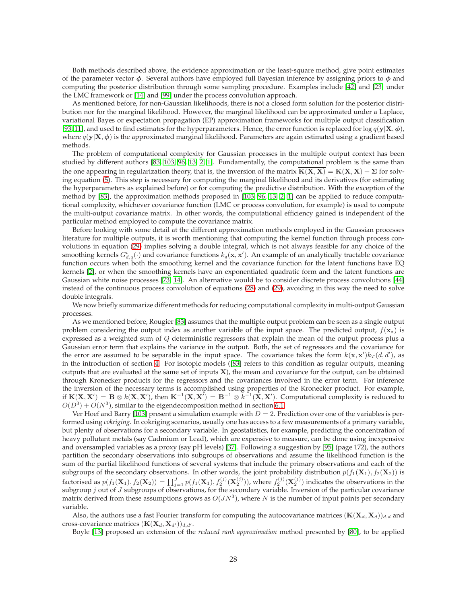Both methods described above, the evidence approximation or the least-square method, give point estimates of the parameter vector  $\phi$ . Several authors have employed full Bayesian inference by assigning priors to  $\phi$  and computing the posterior distribution through some sampling procedure. Examples include [\[42\]](#page-33-10) and [\[23\]](#page-32-7) under the LMC framework or [\[14\]](#page-32-13) and [\[99\]](#page-36-18) under the process convolution approach.

As mentioned before, for non-Gaussian likelihoods, there is not a closed form solution for the posterior distribution nor for the marginal likelihood. However, the marginal likelihood can be approximated under a Laplace, variational Bayes or expectation propagation (EP) approximation frameworks for multiple output classification [\[93,](#page-35-11) [11\]](#page-32-18), and used to find estimates for the hyperparameters. Hence, the error function is replaced for  $\log q(y|X, \phi)$ , where  $q(y|X, \phi)$  is the approximated marginal likelihood. Parameters are again estimated using a gradient based methods.

The problem of computational complexity for Gaussian processes in the multiple output context has been studied by different authors [\[83,](#page-35-12) [103,](#page-36-19) [96,](#page-36-8) [13,](#page-32-17) [2,](#page-32-14) [1\]](#page-32-19). Fundamentally, the computational problem is the same than the one appearing in regularization theory, that is, the inversion of the matrix  $\overline{K(X,X)} = K(X,X) + \Sigma$  for solving equation [\(5\)](#page-7-3). This step is necessary for computing the marginal likelihood and its derivatives (for estimating the hyperparameters as explained before) or for computing the predictive distribution. With the exception of the method by [\[83\]](#page-35-12), the approximation methods proposed in [\[103,](#page-36-19) [96,](#page-36-8) [13,](#page-32-17) [2,](#page-32-14) [1\]](#page-32-19) can be applied to reduce computational complexity, whichever covariance function (LMC or process convolution, for example) is used to compute the multi-output covariance matrix. In other words, the computational efficiency gained is independent of the particular method employed to compute the covariance matrix.

Before looking with some detail at the different approximation methods employed in the Gaussian processes literature for multiple outputs, it is worth mentioning that computing the kernel function through process convolutions in equation [\(29\)](#page-21-3) implies solving a double integral, which is not always feasible for any choice of the smoothing kernels  $G_{d,q}^i(\cdot)$  and covariance functions  $k_q(\mathbf{x}, \mathbf{x}')$ . An example of an analytically tractable covariance function occurs when both the smoothing kernel and the covariance function for the latent functions have EQ kernels [\[2\]](#page-32-14), or when the smoothing kernels have an exponentiated quadratic form and the latent functions are Gaussian white noise processes [\[73,](#page-35-14) [14\]](#page-32-13). An alternative would be to consider discrete process convolutions [\[44\]](#page-33-15) instead of the continuous process convolution of equations [\(28\)](#page-21-5) and [\(29\)](#page-21-3), avoiding in this way the need to solve double integrals.

We now briefly summarize different methods for reducing computational complexity in multi-output Gaussian processes.

As we mentioned before, Rougier [\[83\]](#page-35-12) assumes that the multiple output problem can be seen as a single output problem considering the output index as another variable of the input space. The predicted output,  $f(x<sub>*</sub>)$  is expressed as a weighted sum of Q deterministic regressors that explain the mean of the output process plus a Gaussian error term that explains the variance in the output. Both, the set of regressors and the covariance for the error are assumed to be separable in the input space. The covariance takes the form  $k(\mathbf{x}, \mathbf{x}') k_T(d, d')$ , as in the introduction of section [4.](#page-9-0) For isotopic models ([\[83\]](#page-35-12) refers to this condition as regular outputs, meaning outputs that are evaluated at the same set of inputs  $X$ ), the mean and covariance for the output, can be obtained through Kronecker products for the regressors and the covariances involved in the error term. For inference the inversion of the necessary terms is accomplished using properties of the Kronecker product. For example, if  ${\bf K}({\bf X},{\bf X}')={\bf B}\otimes k({\bf X},{\bf X}'),$  then  ${\bf K}^{-1}({\bf X},{\bf X}')={\bf B}^{-1}\otimes k^{-1}({\bf X},{\bf X}').$  Computational complexity is reduced to  $O(D^3) + O(N^3)$ , similar to the eigendecomposition method in section [6.1.](#page-25-1)

Ver Hoef and Barry [\[103\]](#page-36-19) present a simulation example with  $D = 2$ . Prediction over one of the variables is performed using *cokriging*. In cokriging scenarios, usually one has access to a few measurements of a primary variable, but plenty of observations for a secondary variable. In geostatistics, for example, predicting the concentration of heavy pollutant metals (say Cadmium or Lead), which are expensive to measure, can be done using inexpensive and oversampled variables as a proxy (say pH levels) [\[37\]](#page-33-0). Following a suggestion by [\[95\]](#page-36-20) (page 172), the authors partition the secondary observations into subgroups of observations and assume the likelihood function is the sum of the partial likelihood functions of several systems that include the primary observations and each of the subgroups of the secondary observations. In other words, the joint probability distribution  $p(f_1(\mathbf{X}_1), f_2(\mathbf{X}_2))$  is factorised as  $p(f_1(\mathbf{X}_1), f_2(\mathbf{X}_2)) = \prod_{j=1}^J p(f_1(\mathbf{X}_1), f_2^{(j)}(\mathbf{X}_2^{(j)}))$ , where  $f_2^{(j)}(\mathbf{X}_2^{(j)})$  indicates the observations in the subgroup  $j$  out of  $J$  subgroups of observations, for the secondary variable. Inversion of the particular covariance matrix derived from these assumptions grows as  $O(JN^3)$ , where N is the number of input points per secondary variable.

Also, the authors use a fast Fourier transform for computing the autocovariance matrices  $(K(X_d, X_d))_{d,d}$  and cross-covariance matrices  $(\mathbf{K}(\mathbf{X}_{d}, \mathbf{X}_{d'}))_{d, d'}$ .

Boyle [\[13\]](#page-32-17) proposed an extension of the *reduced rank approximation* method presented by [\[80\]](#page-35-19), to be applied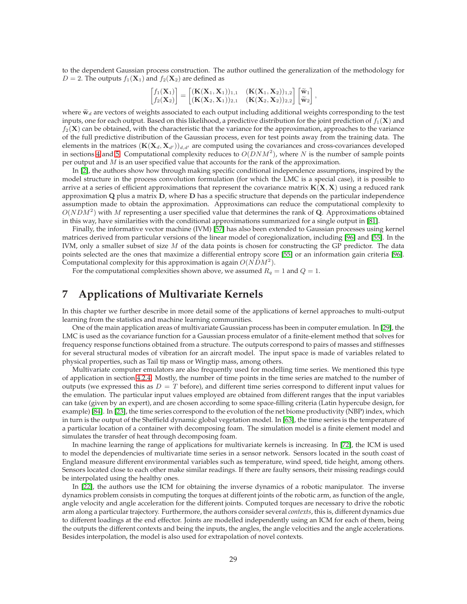to the dependent Gaussian process construction. The author outlined the generalization of the methodology for  $D = 2$ . The outputs  $f_1(\mathbf{X}_1)$  and  $f_2(\mathbf{X}_2)$  are defined as

$$
\begin{bmatrix} f_1(\mathbf{X}_1) \\ f_2(\mathbf{X}_2) \end{bmatrix} = \begin{bmatrix} (\mathbf{K}(\mathbf{X}_1, \mathbf{X}_1))_{1,1} & (\mathbf{K}(\mathbf{X}_1, \mathbf{X}_2))_{1,2} \\ (\mathbf{K}(\mathbf{X}_2, \mathbf{X}_1))_{2,1} & (\mathbf{K}(\mathbf{X}_2, \mathbf{X}_2))_{2,2} \end{bmatrix} \begin{bmatrix} \widetilde{\mathbf{w}}_1 \\ \widetilde{\mathbf{w}}_2 \end{bmatrix}
$$

,

where  $\tilde{\mathbf{w}}_d$  are vectors of weights associated to each output including additional weights corresponding to the test inputs, one for each output. Based on this likelihood, a predictive distribution for the joint prediction of  $f_1(\bf{X})$  and  $f_2(\mathbf{X})$  can be obtained, with the characteristic that the variance for the approximation, approaches to the variance of the full predictive distribution of the Gaussian process, even for test points away from the training data. The elements in the matrices  $(K(X_d, X_{d'})_{d,d'}$  are computed using the covariances and cross-covariances developed in sections [4](#page-9-0) and [5.](#page-19-1) Computational complexity reduces to  $O(DNM^2)$ , where N is the number of sample points per output and  $M$  is an user specified value that accounts for the rank of the approximation.

In [\[2\]](#page-32-14), the authors show how through making specific conditional independence assumptions, inspired by the model structure in the process convolution formulation (for which the LMC is a special case), it is possible to arrive at a series of efficient approximations that represent the covariance matrix  $K(X, X)$  using a reduced rank approximation  $Q$  plus a matrix  $D$ , where  $D$  has a specific structure that depends on the particular independence assumption made to obtain the approximation. Approximations can reduce the computational complexity to  $O(NDM^2)$  with M representing a user specified value that determines the rank of Q. Approximations obtained in this way, have similarities with the conditional approximations summarized for a single output in [\[81\]](#page-35-20).

Finally, the informative vector machine (IVM) [\[57\]](#page-34-7) has also been extended to Gaussian processes using kernel matrices derived from particular versions of the linear model of coregionalization, including [\[96\]](#page-36-8) and [\[55\]](#page-34-6). In the IVM, only a smaller subset of size M of the data points is chosen for constructing the GP predictor. The data points selected are the ones that maximize a differential entropy score [\[55\]](#page-34-6) or an information gain criteria [\[96\]](#page-36-8). Computational complexity for this approximation is again  $O(NDM^2)$ .

For the computational complexities shown above, we assumed  $R_q = 1$  and  $Q = 1$ .

## <span id="page-28-0"></span>**7 Applications of Multivariate Kernels**

In this chapter we further describe in more detail some of the applications of kernel approaches to multi-output learning from the statistics and machine learning communities.

One of the main application areas of multivariate Gaussian process has been in computer emulation. In [\[29\]](#page-33-22), the LMC is used as the covariance function for a Gaussian process emulator of a finite-element method that solves for frequency response functions obtained from a structure. The outputs correspond to pairs of masses and stiffnesses for several structural modes of vibration for an aircraft model. The input space is made of variables related to physical properties, such as Tail tip mass or Wingtip mass, among others.

Multivariate computer emulators are also frequently used for modelling time series. We mentioned this type of application in section [4.2.4.](#page-14-0) Mostly, the number of time points in the time series are matched to the number of outputs (we expressed this as  $D = T$  before), and different time series correspond to different input values for the emulation. The particular input values employed are obtained from different ranges that the input variables can take (given by an expert), and are chosen according to some space-filling criteria (Latin hypercube design, for example) [\[84\]](#page-35-21). In [\[23\]](#page-32-7), the time series correspond to the evolution of the net biome productivity (NBP) index, which in turn is the output of the Sheffield dynamic global vegetation model. In [\[63\]](#page-34-9), the time series is the temperature of a particular location of a container with decomposing foam. The simulation model is a finite element model and simulates the transfer of heat through decomposing foam.

In machine learning the range of applications for multivariate kernels is increasing. In [\[72\]](#page-35-0), the ICM is used to model the dependencies of multivariate time series in a sensor network. Sensors located in the south coast of England measure different environmental variables such as temperature, wind speed, tide height, among others. Sensors located close to each other make similar readings. If there are faulty sensors, their missing readings could be interpolated using the healthy ones.

In [\[22\]](#page-32-20), the authors use the ICM for obtaining the inverse dynamics of a robotic manipulator. The inverse dynamics problem consists in computing the torques at different joints of the robotic arm, as function of the angle, angle velocity and angle acceleration for the different joints. Computed torques are necessary to drive the robotic arm along a particular trajectory. Furthermore, the authors consider several *contexts*, this is, different dynamics due to different loadings at the end effector. Joints are modelled independently using an ICM for each of them, being the outputs the different contexts and being the inputs, the angles, the angle velocities and the angle accelerations. Besides interpolation, the model is also used for extrapolation of novel contexts.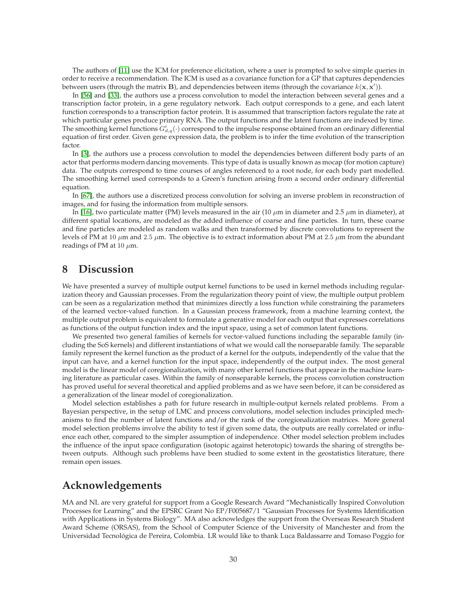The authors of [\[11\]](#page-32-18) use the ICM for preference elicitation, where a user is prompted to solve simple queries in order to receive a recommendation. The ICM is used as a covariance function for a GP that captures dependencies between users (through the matrix B), and dependencies between items (through the covariance  $k(\mathbf{x},\mathbf{x}')$ ).

In [\[56\]](#page-34-15) and [\[33\]](#page-33-23), the authors use a process convolution to model the interaction between several genes and a transcription factor protein, in a gene regulatory network. Each output corresponds to a gene, and each latent function corresponds to a transcription factor protein. It is assummed that transcription factors regulate the rate at which particular genes produce primary RNA. The output functions and the latent functions are indexed by time. The smoothing kernel functions  $G^i_{d,q}(\cdot)$  correspond to the impulse response obtained from an ordinary differential equation of first order. Given gene expression data, the problem is to infer the time evolution of the transcription factor.

In [\[3\]](#page-32-21), the authors use a process convolution to model the dependencies between different body parts of an actor that performs modern dancing movements. This type of data is usually known as mocap (for motion capture) data. The outputs correspond to time courses of angles referenced to a root node, for each body part modelled. The smoothing kernel used corresponds to a Green's function arising from a second order ordinary differential equation.

In [\[67\]](#page-34-17), the authors use a discretized process convolution for solving an inverse problem in reconstruction of images, and for fusing the information from multiple sensors.

In [\[16\]](#page-32-22), two particulate matter (PM) levels measured in the air (10  $\mu$ m in diameter and 2.5  $\mu$ m in diameter), at different spatial locations, are modeled as the added influence of coarse and fine particles. In turn, these coarse and fine particles are modeled as random walks and then transformed by discrete convolutions to represent the levels of PM at 10  $\mu$ m and 2.5  $\mu$ m. The objective is to extract information about PM at 2.5  $\mu$ m from the abundant readings of PM at 10  $\mu$ m.

## <span id="page-29-0"></span>**8 Discussion**

We have presented a survey of multiple output kernel functions to be used in kernel methods including regularization theory and Gaussian processes. From the regularization theory point of view, the multiple output problem can be seen as a regularization method that minimizes directly a loss function while constraining the parameters of the learned vector-valued function. In a Gaussian process framework, from a machine learning context, the multiple output problem is equivalent to formulate a generative model for each output that expresses correlations as functions of the output function index and the input space, using a set of common latent functions.

We presented two general families of kernels for vector-valued functions including the separable family (including the SoS kernels) and different instantiations of what we would call the nonseparable family. The separable family represent the kernel function as the product of a kernel for the outputs, independently of the value that the input can have, and a kernel function for the input space, independently of the output index. The most general model is the linear model of coregionalization, with many other kernel functions that appear in the machine learning literature as particular cases. Within the family of nonseparable kernels, the process convolution construction has proved useful for several theoretical and applied problems and as we have seen before, it can be considered as a generalization of the linear model of coregionalization.

Model selection establishes a path for future research in multiple-output kernels related problems. From a Bayesian perspective, in the setup of LMC and process convolutions, model selection includes principled mechanisms to find the number of latent functions and/or the rank of the coregionalization matrices. More general model selection problems involve the ability to test if given some data, the outputs are really correlated or influence each other, compared to the simpler assumption of independence. Other model selection problem includes the influence of the input space configuration (isotopic against heterotopic) towards the sharing of strengths between outputs. Although such problems have been studied to some extent in the geostatistics literature, there remain open issues.

## **Acknowledgements**

MA and NL are very grateful for support from a Google Research Award "Mechanistically Inspired Convolution Processes for Learning" and the EPSRC Grant No EP/F005687/1 "Gaussian Processes for Systems Identification with Applications in Systems Biology". MA also acknowledges the support from the Overseas Research Student Award Scheme (ORSAS), from the School of Computer Science of the University of Manchester and from the Universidad Tecnológica de Pereira, Colombia. LR would like to thank Luca Baldassarre and Tomaso Poggio for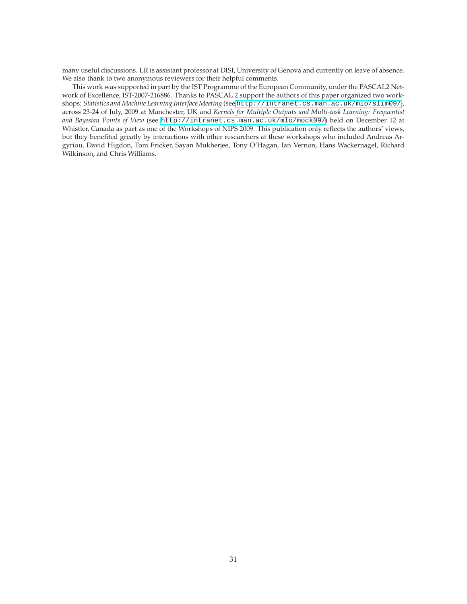many useful discussions. LR is assistant professor at DISI, University of Genova and currently on leave of absence. We also thank to two anonymous reviewers for their helpful comments.

This work was supported in part by the IST Programme of the European Community, under the PASCAL2 Network of Excellence, IST-2007-216886. Thanks to PASCAL 2 support the authors of this paper organized two workshops: *Statistics and Machine Learning Interface Meeting* (see <http://intranet.cs.man.ac.uk/mlo/slim09/>), across 23-24 of July, 2009 at Manchester, UK and *Kernels for Multiple Outputs and Multi-task Learning: Frequentist and Bayesian Points of View* (see <http://intranet.cs.man.ac.uk/mlo/mock09/>) held on December 12 at Whistler, Canada as part as one of the Workshops of NIPS 2009. This publication only reflects the authors' views, but they benefited greatly by interactions with other researchers at these workshops who included Andreas Argyriou, David Higdon, Tom Fricker, Sayan Mukherjee, Tony O'Hagan, Ian Vernon, Hans Wackernagel, Richard Wilkinson, and Chris Williams.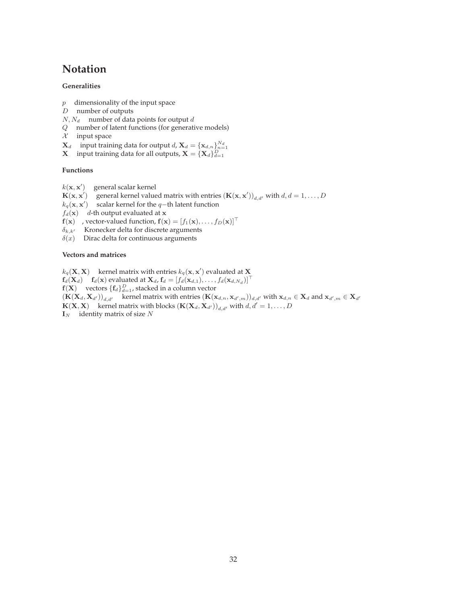# **Notation**

### **Generalities**

- $p$  dimensionality of the input space
- D number of outputs
- $N, N_d$  number of data points for output  $d$
- Q number of latent functions (for generative models)
- $\mathcal{X}$  input space
- $\mathbf{X}_d$  input training data for output  $d$ ,  $\mathbf{X}_d = {\mathbf{x}_{d,n}}_{n=1}^{N_d}$
- **X** input training data for all outputs,  $\mathbf{X} = \{\mathbf{X}_d\}_{d=1}^D$

#### **Functions**

- $k(\mathbf{x}, \mathbf{x}')$  general scalar kernel
- ${\bf K}({\bf x},{\bf x}')$  general kernel valued matrix with entries  $({\bf K}({\bf x},{\bf x}'))_{d,d'}$  with  $d,d=1,\ldots,D$
- $k_q(\mathbf{x}, \mathbf{x}')$  scalar kernel for the q-th latent function
- $f_d(\mathbf{x})$  d-th output evaluated at **x**
- $f(x)$ , vector-valued function,  $f(x) = [f_1(x), \ldots, f_D(x)]^T$
- $\delta_{k,k'}$  Kronecker delta for discrete arguments
- $\delta(x)$  Dirac delta for continuous arguments

#### **Vectors and matrices**

 $k_q(\mathbf{X}, \mathbf{X})$  kernel matrix with entries  $k_q(\mathbf{x}, \mathbf{x}')$  evaluated at X

- $\mathbf{f}_d(\mathbf{X}_d)$  f $_d(\mathbf{x})$  evaluated at  $\mathbf{X}_d$ ,  $\mathbf{f}_d = [f_d(\mathbf{x}_{d,1}), \ldots, f_d(\mathbf{x}_{d,N_d})]^\top$
- $\textbf{f}(\textbf{X})$  vectors  $\{\textbf{f}_d\}_{d=1}^D$ , stacked in a column vector
- $(\mathbf{K}(\mathbf{X}_d, \mathbf{X}_{d'})_{d,d'}$  kernel matrix with entries  $(\mathbf{K}(\mathbf{x}_{d,n}, \mathbf{x}_{d',m}))_{d,d'}$  with  $\mathbf{x}_{d,n} \in \mathbf{X}_d$  and  $\mathbf{x}_{d',m} \in \mathbf{X}_{d'}$
- ${\bf K}({\bf X},{\bf X})$  kernel matrix with blocks  $({\bf K}({\bf X}_d,{\bf X}_{d'}))_{d,d'}$  with  $d,d'=1,\ldots,D$
- $I_N$  identity matrix of size N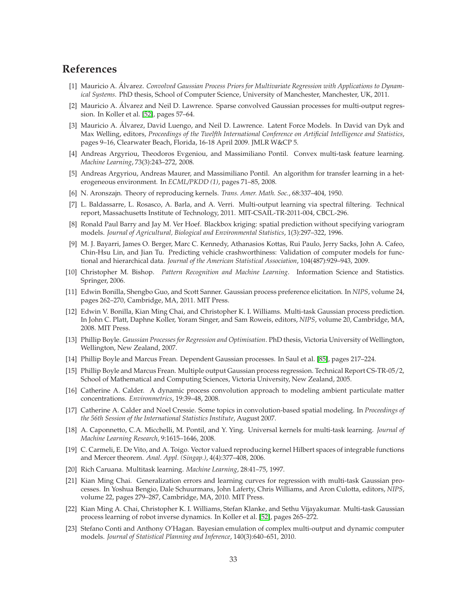## <span id="page-32-19"></span>**References**

- [1] Mauricio A. Álvarez. Convolved Gaussian Process Priors for Multivariate Regression with Applications to Dynam*ical Systems*. PhD thesis, School of Computer Science, University of Manchester, Manchester, UK, 2011.
- <span id="page-32-14"></span>[2] Mauricio A. Álvarez and Neil D. Lawrence. Sparse convolved Gaussian processes for multi-output regression. In Koller et al. [\[52\]](#page-34-22), pages 57–64.
- <span id="page-32-21"></span>[3] Mauricio A. Álvarez, David Luengo, and Neil D. Lawrence. Latent Force Models. In David van Dyk and Max Welling, editors, *Proceedings of the Twelfth International Conference on Artificial Intelligence and Statistics*, pages 9–16, Clearwater Beach, Florida, 16-18 April 2009. JMLR W&CP 5.
- <span id="page-32-9"></span>[4] Andreas Argyriou, Theodoros Evgeniou, and Massimiliano Pontil. Convex multi-task feature learning. *Machine Learning*, 73(3):243–272, 2008.
- <span id="page-32-10"></span>[5] Andreas Argyriou, Andreas Maurer, and Massimiliano Pontil. An algorithm for transfer learning in a heterogeneous environment. In *ECML/PKDD (1)*, pages 71–85, 2008.
- <span id="page-32-6"></span><span id="page-32-3"></span>[6] N. Aronszajn. Theory of reproducing kernels. *Trans. Amer. Math. Soc.*, 68:337–404, 1950.
- <span id="page-32-12"></span>[7] L. Baldassarre, L. Rosasco, A. Barla, and A. Verri. Multi-output learning via spectral filtering. Technical report, Massachusetts Institute of Technology, 2011. MIT-CSAIL-TR-2011-004, CBCL-296.
- [8] Ronald Paul Barry and Jay M. Ver Hoef. Blackbox kriging: spatial prediction without specifying variogram models. *Journal of Agricultural, Biological and Environmental Statistics*, 1(3):297–322, 1996.
- <span id="page-32-8"></span>[9] M. J. Bayarri, James O. Berger, Marc C. Kennedy, Athanasios Kottas, Rui Paulo, Jerry Sacks, John A. Cafeo, Chin-Hsu Lin, and Jian Tu. Predicting vehicle crashworthiness: Validation of computer models for functional and hierarchical data. *Journal of the American Statistical Association*, 104(487):929–943, 2009.
- <span id="page-32-2"></span>[10] Christopher M. Bishop. *Pattern Recognition and Machine Learning*. Information Science and Statistics. Springer, 2006.
- <span id="page-32-18"></span>[11] Edwin Bonilla, Shengbo Guo, and Scott Sanner. Gaussian process preference elicitation. In *NIPS*, volume 24, pages 262–270, Cambridge, MA, 2011. MIT Press.
- <span id="page-32-1"></span>[12] Edwin V. Bonilla, Kian Ming Chai, and Christopher K. I. Williams. Multi-task Gaussian process prediction. In John C. Platt, Daphne Koller, Yoram Singer, and Sam Roweis, editors, *NIPS*, volume 20, Cambridge, MA, 2008. MIT Press.
- <span id="page-32-17"></span>[13] Phillip Boyle. *Gaussian Processes for Regression and Optimisation*. PhD thesis, Victoria University of Wellington, Wellington, New Zealand, 2007.
- <span id="page-32-16"></span><span id="page-32-13"></span>[14] Phillip Boyle and Marcus Frean. Dependent Gaussian processes. In Saul et al. [\[85\]](#page-35-22), pages 217–224.
- [15] Phillip Boyle and Marcus Frean. Multiple output Gaussian process regression. Technical Report CS-TR-05/2, School of Mathematical and Computing Sciences, Victoria University, New Zealand, 2005.
- <span id="page-32-22"></span>[16] Catherine A. Calder. A dynamic process convolution approach to modeling ambient particulate matter concentrations. *Environmetrics*, 19:39–48, 2008.
- <span id="page-32-15"></span>[17] Catherine A. Calder and Noel Cressie. Some topics in convolution-based spatial modeling. In *Proceedings of the 56th Session of the International Statistics Institute*, August 2007.
- <span id="page-32-11"></span>[18] A. Caponnetto, C.A. Micchelli, M. Pontil, and Y. Ying. Universal kernels for multi-task learning. *Journal of Machine Learning Research*, 9:1615–1646, 2008.
- <span id="page-32-4"></span>[19] C. Carmeli, E. De Vito, and A. Toigo. Vector valued reproducing kernel Hilbert spaces of integrable functions and Mercer theorem. *Anal. Appl. (Singap.)*, 4(4):377–408, 2006.
- <span id="page-32-5"></span><span id="page-32-0"></span>[20] Rich Caruana. Multitask learning. *Machine Learning*, 28:41–75, 1997.
- [21] Kian Ming Chai. Generalization errors and learning curves for regression with multi-task Gaussian processes. In Yoshua Bengio, Dale Schuurmans, John Laferty, Chris Williams, and Aron Culotta, editors, *NIPS*, volume 22, pages 279–287, Cambridge, MA, 2010. MIT Press.
- <span id="page-32-20"></span>[22] Kian Ming A. Chai, Christopher K. I. Williams, Stefan Klanke, and Sethu Vijayakumar. Multi-task Gaussian process learning of robot inverse dynamics. In Koller et al. [\[52\]](#page-34-22), pages 265–272.
- <span id="page-32-7"></span>[23] Stefano Conti and Anthony O'Hagan. Bayesian emulation of complex multi-output and dynamic computer models. *Journal of Statistical Planning and Inference*, 140(3):640–651, 2010.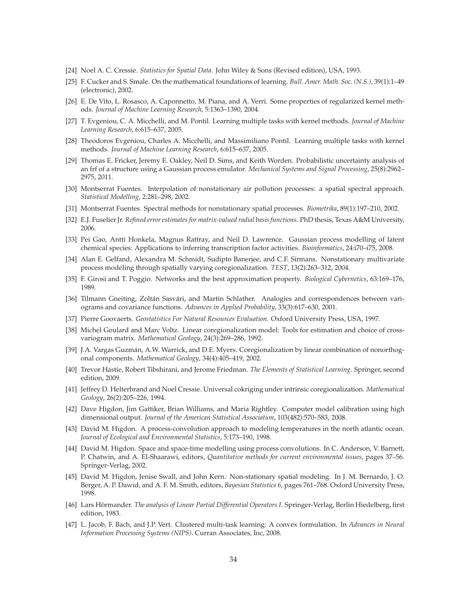- <span id="page-33-6"></span><span id="page-33-3"></span>[24] Noel A. C. Cressie. *Statistics for Spatial Data*. John Wiley & Sons (Revised edition), USA, 1993.
- <span id="page-33-4"></span>[25] F. Cucker and S. Smale. On the mathematical foundations of learning. *Bull. Amer. Math. Soc. (N.S.)*, 39(1):1–49 (electronic), 2002.
- [26] E. De Vito, L. Rosasco, A. Caponnetto, M. Piana, and A. Verri. Some properties of regularized kernel methods. *Journal of Machine Learning Research*, 5:1363–1390, 2004.
- <span id="page-33-7"></span>[27] T. Evgeniou, C. A. Micchelli, and M. Pontil. Learning multiple tasks with kernel methods. *Journal of Machine Learning Research*, 6:615–637, 2005.
- <span id="page-33-5"></span>[28] Theodoros Evgeniou, Charles A. Micchelli, and Massimiliano Pontil. Learning multiple tasks with kernel methods. *Journal of Machine Learning Research*, 6:615–637, 2005.
- <span id="page-33-22"></span>[29] Thomas E. Fricker, Jeremy E. Oakley, Neil D. Sims, and Keith Worden. Probabilistic uncertainty analysis of an frf of a structure using a Gaussian process emulator. *Mechanical Systems and Signal Processing*, 25(8):2962– 2975, 2011.
- <span id="page-33-18"></span>[30] Montserrat Fuentes. Interpolation of nonstationary air pollution processes: a spatial spectral approach. *Statistical Modelling*, 2:281–298, 2002.
- <span id="page-33-19"></span><span id="page-33-12"></span>[31] Montserrat Fuentes. Spectral methods for nonstationary spatial processes. *Biometrika*, 89(1):197–210, 2002.
- <span id="page-33-23"></span>[32] E.J. Fuselier Jr. *Refined error estimates for matrix-valued radial basis functions*. PhD thesis, Texas A&M University, 2006.
- [33] Pei Gao, Antti Honkela, Magnus Rattray, and Neil D. Lawrence. Gaussian process modelling of latent chemical species: Applications to inferring transcription factor activities. *Bioinformatics*, 24:i70–i75, 2008.
- <span id="page-33-13"></span>[34] Alan E. Gelfand, Alexandra M. Schmidt, Sudipto Banerjee, and C.F. Sirmans. Nonstationary multivariate process modeling through spatially varying coregionalization. *TEST*, 13(2):263–312, 2004.
- <span id="page-33-21"></span><span id="page-33-2"></span>[35] F. Girosi and T. Poggio. Networks and the best approximation property. *Biological Cybernetics*, 63:169–176, 1989.
- [36] Tilmann Gneiting, Zoltán Sasvári, and Martin Schlather. Analogies and correspondences between variograms and covariance functions. *Advances in Applied Probability*, 33(3):617–630, 2001.
- <span id="page-33-20"></span><span id="page-33-0"></span>[37] Pierre Goovaerts. *Geostatistics For Natural Resources Evaluation*. Oxford University Press, USA, 1997.
- [38] Michel Goulard and Marc Voltz. Linear coregionalization model: Tools for estimation and choice of crossvariogram matrix. *Mathematical Geology*, 24(3):269–286, 1992.
- <span id="page-33-11"></span>[39] J.A. Vargas Guzmán, A.W. Warrick, and D.E. Myers. Coregionalization by linear combination of nonorthogonal components. *Mathematical Geology*, 34(4):405–419, 2002.
- <span id="page-33-1"></span>[40] Trevor Hastie, Robert Tibshirani, and Jerome Friedman. *The Elements of Statistical Learning*. Springer, second edition, 2009.
- <span id="page-33-9"></span>[41] Jeffrey D. Helterbrand and Noel Cressie. Universal cokriging under intrinsic coregionalization. *Mathematical Geology*, 26(2):205–226, 1994.
- <span id="page-33-10"></span>[42] Dave Higdon, Jim Gattiker, Brian Williams, and Maria Rightley. Computer model calibration using high dimensional output. *Journal of the American Statistical Association*, 103(482):570–583, 2008.
- <span id="page-33-14"></span>[43] David M. Higdon. A process-convolution approach to modeling temperatures in the north atlantic ocean. *Journal of Ecological and Environmental Statistics*, 5:173–190, 1998.
- <span id="page-33-15"></span>[44] David M. Higdon. Space and space-time modelling using process convolutions. In C. Anderson, V. Barnett, P. Chatwin, and A. El-Shaarawi, editors, *Quantitative methods for current environmental issues*, pages 37–56. Springer-Verlag, 2002.
- <span id="page-33-17"></span>[45] David M. Higdon, Jenise Swall, and John Kern. Non-stationary spatial modeling. In J. M. Bernardo, J. O. Berger, A. P. Dawid, and A. F. M. Smith, editors, *Bayesian Statistics 6*, pages 761–768. Oxford University Press, 1998.
- <span id="page-33-16"></span>[46] Lars Hörmander. *The analysis of Linear Partial Differential Operators I*. Springer-Verlag, Berlin Hiedelberg, first edition, 1983.
- <span id="page-33-8"></span>[47] L. Jacob, F. Bach, and J.P. Vert. Clustered multi-task learning: A convex formulation. In *Advances in Neural Information Processing Systems (NIPS)*. Curran Associates, Inc, 2008.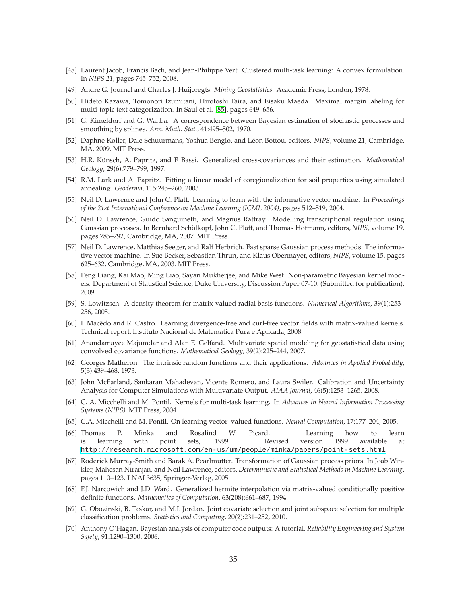- <span id="page-34-10"></span>[48] Laurent Jacob, Francis Bach, and Jean-Philippe Vert. Clustered multi-task learning: A convex formulation. In *NIPS 21*, pages 745–752, 2008.
- <span id="page-34-4"></span><span id="page-34-0"></span>[49] Andre G. Journel and Charles J. Huijbregts. *Mining Geostatistics*. Academic Press, London, 1978.
- <span id="page-34-2"></span>[50] Hideto Kazawa, Tomonori Izumitani, Hirotoshi Taira, and Eisaku Maeda. Maximal margin labeling for multi-topic text categorization. In Saul et al. [\[85\]](#page-35-22), pages 649–656.
- [51] G. Kimeldorf and G. Wahba. A correspondence between Bayesian estimation of stochastic processes and smoothing by splines. *Ann. Math. Stat.*, 41:495–502, 1970.
- <span id="page-34-22"></span><span id="page-34-19"></span>[52] Daphne Koller, Dale Schuurmans, Yoshua Bengio, and L´eon Bottou, editors. *NIPS*, volume 21, Cambridge, MA, 2009. MIT Press.
- <span id="page-34-20"></span>[53] H.R. Künsch, A. Papritz, and F. Bassi. Generalized cross-covariances and their estimation. *Mathematical Geology*, 29(6):779–799, 1997.
- [54] R.M. Lark and A. Papritz. Fitting a linear model of coregionalization for soil properties using simulated annealing. *Geoderma*, 115:245–260, 2003.
- <span id="page-34-6"></span>[55] Neil D. Lawrence and John C. Platt. Learning to learn with the informative vector machine. In *Proceedings of the 21st International Conference on Machine Learning (ICML 2004)*, pages 512–519, 2004.
- <span id="page-34-15"></span>[56] Neil D. Lawrence, Guido Sanguinetti, and Magnus Rattray. Modelling transcriptional regulation using Gaussian processes. In Bernhard Schölkopf, John C. Platt, and Thomas Hofmann, editors, *NIPS*, volume 19, pages 785–792, Cambridge, MA, 2007. MIT Press.
- <span id="page-34-7"></span>[57] Neil D. Lawrence, Matthias Seeger, and Ralf Herbrich. Fast sparse Gaussian process methods: The informative vector machine. In Sue Becker, Sebastian Thrun, and Klaus Obermayer, editors, *NIPS*, volume 15, pages 625–632, Cambridge, MA, 2003. MIT Press.
- <span id="page-34-18"></span>[58] Feng Liang, Kai Mao, Ming Liao, Sayan Mukherjee, and Mike West. Non-parametric Bayesian kernel models. Department of Statistical Science, Duke University, Discussion Paper 07-10. (Submitted for publication), 2009.
- <span id="page-34-14"></span>[59] S. Lowitzsch. A density theorem for matrix-valued radial basis functions. *Numerical Algorithms*, 39(1):253– 256, 2005.
- <span id="page-34-13"></span>[60] I. Macêdo and R. Castro. Learning divergence-free and curl-free vector fields with matrix-valued kernels. Technical report, Instituto Nacional de Matematica Pura e Aplicada, 2008.
- <span id="page-34-16"></span>[61] Anandamayee Majumdar and Alan E. Gelfand. Multivariate spatial modeling for geostatistical data using convolved covariance functions. *Mathematical Geology*, 39(2):225–244, 2007.
- <span id="page-34-21"></span>[62] Georges Matheron. The intrinsic random functions and their applications. *Advances in Applied Probability*, 5(3):439–468, 1973.
- <span id="page-34-9"></span>[63] John McFarland, Sankaran Mahadevan, Vicente Romero, and Laura Swiler. Calibration and Uncertainty Analysis for Computer Simulations with Multivariate Output. *AIAA Journal*, 46(5):1253–1265, 2008.
- <span id="page-34-3"></span>[64] C. A. Micchelli and M. Pontil. Kernels for multi-task learning. In *Advances in Neural Information Processing Systems (NIPS)*. MIT Press, 2004.
- <span id="page-34-5"></span><span id="page-34-1"></span>[65] C.A. Micchelli and M. Pontil. On learning vector–valued functions. *Neural Computation*, 17:177–204, 2005.
- [66] Thomas P. Minka and Rosalind W. Picard. Learning how to learn is learning with point sets, 1999. Revised version 1999 available at <http://research.microsoft.com/en-us/um/people/minka/papers/point-sets.html>.
- <span id="page-34-17"></span>[67] Roderick Murray-Smith and Barak A. Pearlmutter. Transformation of Gaussian process priors. In Joab Winkler, Mahesan Niranjan, and Neil Lawrence, editors, *Deterministic and Statistical Methods in Machine Learning*, pages 110–123. LNAI 3635, Springer-Verlag, 2005.
- <span id="page-34-12"></span>[68] F.J. Narcowich and J.D. Ward. Generalized hermite interpolation via matrix-valued conditionally positive definite functions. *Mathematics of Computation*, 63(208):661–687, 1994.
- <span id="page-34-11"></span>[69] G. Obozinski, B. Taskar, and M.I. Jordan. Joint covariate selection and joint subspace selection for multiple classification problems. *Statistics and Computing*, 20(2):231–252, 2010.
- <span id="page-34-8"></span>[70] Anthony O'Hagan. Bayesian analysis of computer code outputs: A tutorial. *Reliability Engineering and System Safety*, 91:1290–1300, 2006.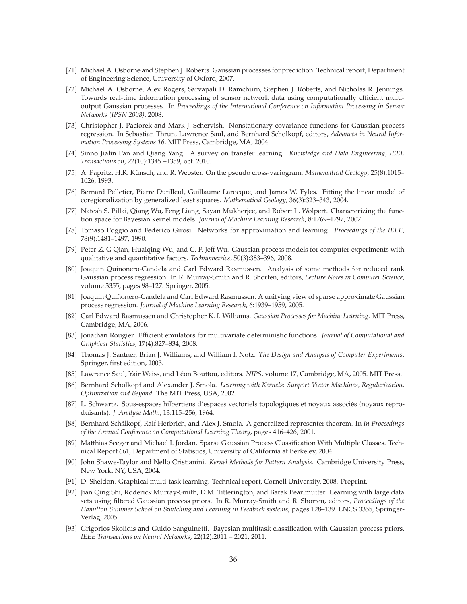- <span id="page-35-9"></span><span id="page-35-0"></span>[71] Michael A. Osborne and Stephen J. Roberts. Gaussian processes for prediction. Technical report, Department of Engineering Science, University of Oxford, 2007.
- [72] Michael A. Osborne, Alex Rogers, Sarvapali D. Ramchurn, Stephen J. Roberts, and Nicholas R. Jennings. Towards real-time information processing of sensor network data using computationally efficient multioutput Gaussian processes. In *Proceedings of the International Conference on Information Processing in Sensor Networks (IPSN 2008)*, 2008.
- <span id="page-35-14"></span>[73] Christopher J. Paciorek and Mark J. Schervish. Nonstationary covariance functions for Gaussian process regression. In Sebastian Thrun, Lawrence Saul, and Bernhard Schölkopf, editors, *Advances in Neural Information Processing Systems 16*. MIT Press, Cambridge, MA, 2004.
- <span id="page-35-18"></span><span id="page-35-1"></span>[74] Sinno Jialin Pan and Qiang Yang. A survey on transfer learning. *Knowledge and Data Engineering, IEEE Transactions on*, 22(10):1345 –1359, oct. 2010.
- <span id="page-35-17"></span>[75] A. Papritz, H.R. Künsch, and R. Webster. On the pseudo cross-variogram. *Mathematical Geology*, 25(8):1015– 1026, 1993.
- [76] Bernard Pelletier, Pierre Dutilleul, Guillaume Larocque, and James W. Fyles. Fitting the linear model of coregionalization by generalized least squares. *Mathematical Geology*, 36(3):323–343, 2004.
- <span id="page-35-16"></span>[77] Natesh S. Pillai, Qiang Wu, Feng Liang, Sayan Mukherjee, and Robert L. Wolpert. Characterizing the function space for Bayesian kernel models. *Journal of Machine Learning Research*, 8:1769–1797, 2007.
- <span id="page-35-6"></span>[78] Tomaso Poggio and Federico Girosi. Networks for approximation and learning. *Proceedings of the IEEE*, 78(9):1481–1497, 1990.
- <span id="page-35-13"></span>[79] Peter Z. G Qian, Huaiqing Wu, and C. F. Jeff Wu. Gaussian process models for computer experiments with qualitative and quantitative factors. *Technometrics*, 50(3):383–396, 2008.
- <span id="page-35-19"></span>[80] Joaquin Quiñonero-Candela and Carl Edward Rasmussen. Analysis of some methods for reduced rank Gaussian process regression. In R. Murray-Smith and R. Shorten, editors, *Lecture Notes in Computer Science*, volume 3355, pages 98–127. Springer, 2005.
- <span id="page-35-20"></span>[81] Joaquin Quiñonero-Candela and Carl Edward Rasmussen. A unifying view of sparse approximate Gaussian process regression. *Journal of Machine Learning Research*, 6:1939–1959, 2005.
- <span id="page-35-2"></span>[82] Carl Edward Rasmussen and Christopher K. I. Williams. *Gaussian Processes for Machine Learning*. MIT Press, Cambridge, MA, 2006.
- <span id="page-35-12"></span>[83] Jonathan Rougier. Efficient emulators for multivariate deterministic functions. *Journal of Computational and Graphical Statistics*, 17(4):827–834, 2008.
- <span id="page-35-21"></span>[84] Thomas J. Santner, Brian J. Williams, and William I. Notz. *The Design and Analysis of Computer Experiments*. Springer, first edition, 2003.
- <span id="page-35-22"></span><span id="page-35-3"></span>[85] Lawrence Saul, Yair Weiss, and Léon Bouttou, editors. *NIPS*, volume 17, Cambridge, MA, 2005. MIT Press.
- [86] Bernhard Schölkopf and Alexander J. Smola. *Learning with Kernels: Support Vector Machines, Regularization*, *Optimization and Beyond.* The MIT Press, USA, 2002.
- <span id="page-35-4"></span>[87] L. Schwartz. Sous-espaces hilbertiens d'espaces vectoriels topologiques et noyaux associés (noyaux reproduisants). *J. Analyse Math.*, 13:115–256, 1964.
- <span id="page-35-5"></span>[88] Bernhard Schšlkopf, Ralf Herbrich, and Alex J. Smola. A generalized representer theorem. In *In Proceedings of the Annual Conference on Computational Learning Theory*, pages 416–426, 2001.
- <span id="page-35-10"></span>[89] Matthias Seeger and Michael I. Jordan. Sparse Gaussian Process Classification With Multiple Classes. Technical Report 661, Department of Statistics, University of California at Berkeley, 2004.
- <span id="page-35-7"></span>[90] John Shawe-Taylor and Nello Cristianini. *Kernel Methods for Pattern Analysis*. Cambridge University Press, New York, NY, USA, 2004.
- <span id="page-35-15"></span><span id="page-35-8"></span>[91] D. Sheldon. Graphical multi-task learning. Technical report, Cornell University, 2008. Preprint.
- [92] Jian Qing Shi, Roderick Murray-Smith, D.M. Titterington, and Barak Pearlmutter. Learning with large data sets using filtered Gaussian process priors. In R. Murray-Smith and R. Shorten, editors, *Proceedings of the Hamilton Summer School on Switching and Learning in Feedback systems*, pages 128–139. LNCS 3355, Springer-Verlag, 2005.
- <span id="page-35-11"></span>[93] Grigorios Skolidis and Guido Sanguinetti. Bayesian multitask classification with Gaussian process priors. *IEEE Transactions on Neural Networks*, 22(12):2011 – 2021, 2011.